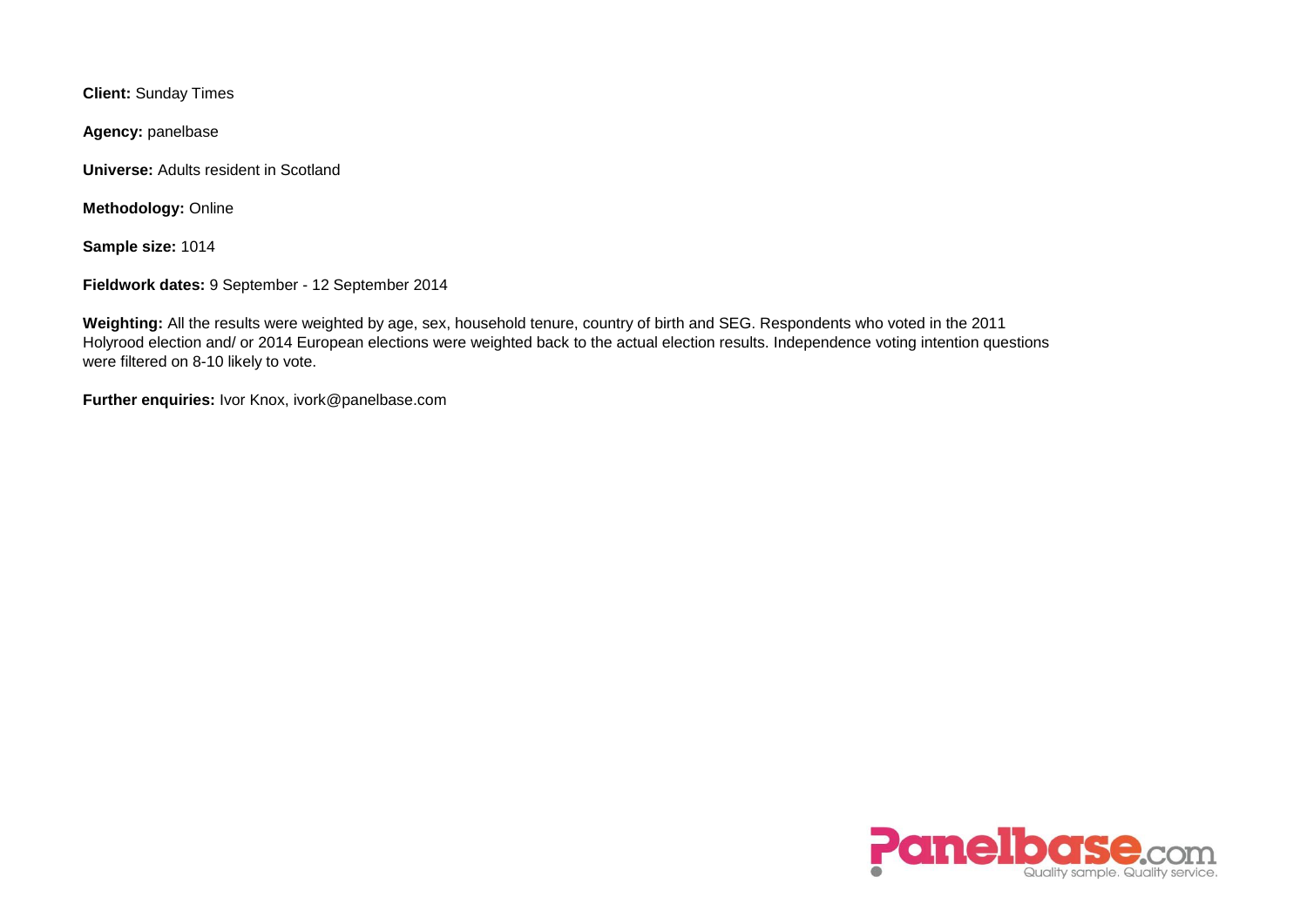**Client:** Sunday Times

**Agency:** panelbase

**Universe:** Adults resident in Scotland

**Methodology:** Online

**Sample size:** 1014

**Fieldwork dates:** 9 September - 12 September 2014

**Weighting:** All the results were weighted by age, sex, household tenure, country of birth and SEG. Respondents who voted in the 2011 Holyrood election and/ or 2014 European elections were weighted back to the actual election results. Independence voting intention questions were filtered on 8-10 likely to vote.

**Further enquiries:** Ivor Knox, ivork@panelbase.com

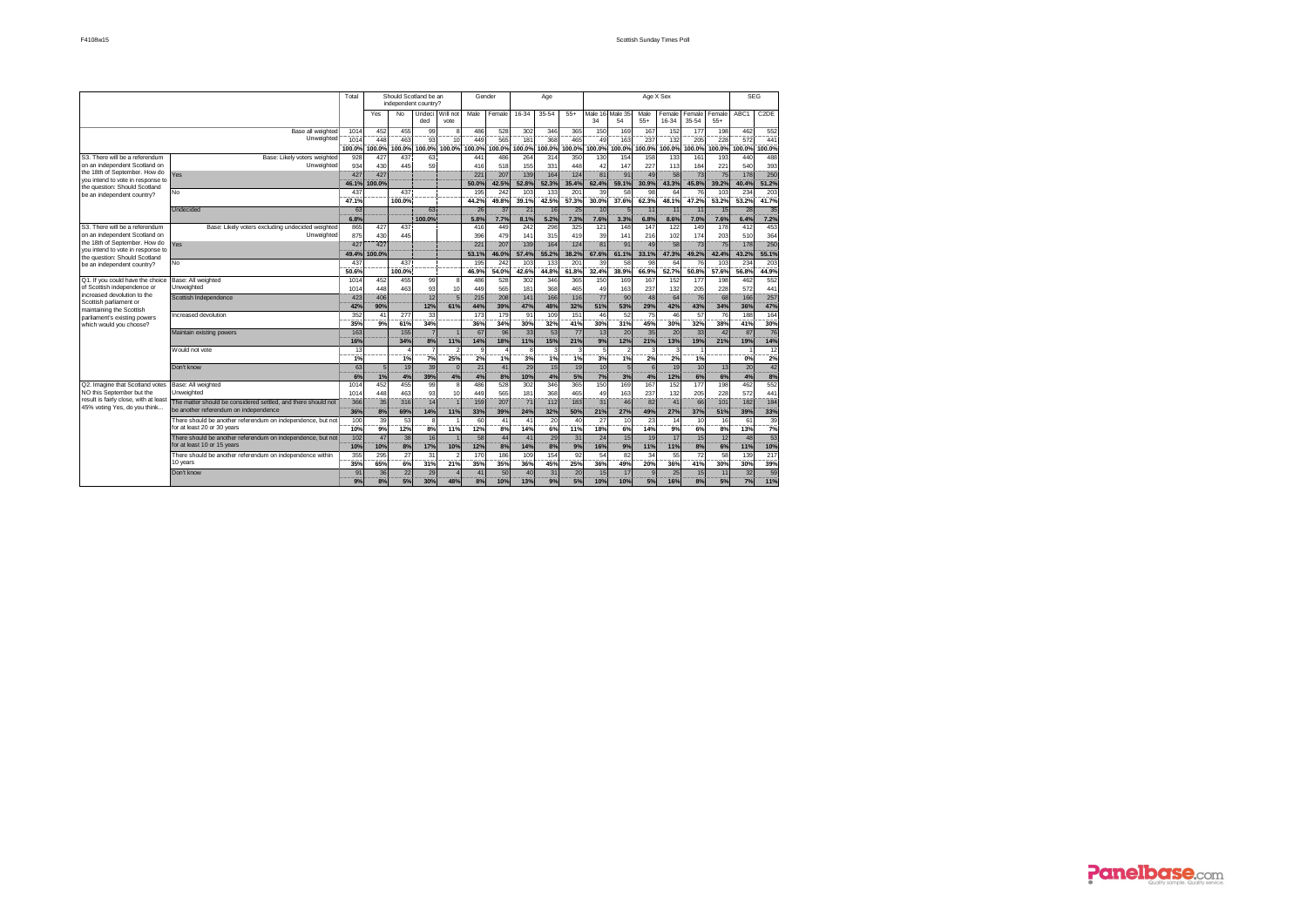|                                                                       |                                                               | Total  |        | Should Scotland be an  |        |                |        | Gender         |           | Age       |        |                 |        |                 | Age X Sex |           |        | <b>SEG</b>       |                   |
|-----------------------------------------------------------------------|---------------------------------------------------------------|--------|--------|------------------------|--------|----------------|--------|----------------|-----------|-----------|--------|-----------------|--------|-----------------|-----------|-----------|--------|------------------|-------------------|
|                                                                       |                                                               |        |        | independent country?   |        |                |        |                |           |           |        |                 |        |                 |           |           |        |                  |                   |
|                                                                       |                                                               |        | Yes    | No                     | Undec  | Will not       | Male   | Female         | $16 - 34$ | $35 - 54$ | $55+$  | Male 16 Male 35 |        | Male            | Female    | Female    | Female | ABC <sub>1</sub> | C <sub>2</sub> DE |
|                                                                       |                                                               |        |        |                        | ded    | vote           |        |                |           |           |        | 34              | 54     | $55+$           | 16-34     | $35 - 54$ | $55+$  |                  |                   |
|                                                                       | Base all weighted                                             | 1014   | 452    | 455                    | 99     |                | 486    | 528            | 302       | 346       | 365    | 150             | 169    | 167             | 152       | 177       | 198    | 462              | 552               |
|                                                                       | Unweighted                                                    | 1014   | 448    | 463                    | 93     | 10             | 449    | 565            | 181       | 368       | 465    | 49              | 163    | 237             | 132       | 205       | 228    | 572              | 441               |
|                                                                       |                                                               | 100.0% | 00.0%  | 100.0%                 | 100.0% | 100.0%         | 100.0% | 100.0%         | 100.0%    | 100.0%    | 100.0% | 100.0%          | 100.0% | 100.0%          | 100.0%    | 100.0%    | 100.0% | 100.0%           | 100.0%            |
| S3. There will be a referendum                                        | Base: Likely voters weighted                                  | 928    | 427    | 437                    | 63     |                | 441    | 486            | 264       | 314       | 350    | 130             | 154    | 158             | 133       | 161       | 193    | 440              | 488               |
| on an independent Scotland on                                         | Unweighted                                                    | 934    | 430    | 445                    | 59     |                | 416    | 518            | 155       | 331       | 448    | 42              | 147    | 227             | 113       | 184       | 221    | 540              | 393               |
| the 18th of September. How do<br>vou intend to vote in response to    | Yes                                                           | 427    | 427    |                        |        |                | 221    | 207            | 139       | 164       | 124    | 81              | 91     | 49              | 58        | 73        | 75     | 178              | 250               |
| the question: Should Scotland                                         |                                                               | 46.1%  | 100.0% |                        |        |                | 50.0%  | 42.5%          | 52.8%     | 52.3%     | 35.4%  | 62.4%           | 59.1%  | 30.9%           | 43.3%     | 45.8%     | 39.2%  | 40.4%            | 51.2%             |
| be an independent country?                                            | No                                                            | 437    |        | 437                    |        |                | 195    | 242            | 103       | 133       | 201    | 39              | 58     | 98              | 64        | 76        | 103    | 234              | 203               |
|                                                                       |                                                               | 47.1%  |        | 100.0%                 |        |                | 44.2%  | 49.8%          | 39.1%     | 42.5%     | 57.3%  | 30.0%           | 37.6%  | 62.3%           | 48.1%     | 47.2%     | 53.2%  | 53.2%            | 41.7%             |
|                                                                       | <b>Undecided</b>                                              | 63     |        |                        | 63     |                | 26     | 37             | 21        | 16        | 25     | 10              |        | 11              | 11        | 11        | 15     | 28               | 35                |
|                                                                       |                                                               | 6.8%   |        |                        | 100.0% |                | 5.8%   | 7.7%           | 8.1%      | 5.2%      | 7.3%   | 7.6%            | 3.3%   | 6.8%            | 8.6%      | 7.0%      | 7.6%   | 6.4%             | 7.2%              |
| S3. There will be a referendum                                        | Base: Likely voters excluding undecided weighted              | 865    | 427    | 437                    |        |                | 416    | 449            | 242       | 298       | 325    | 121             | 148    | 147             | 122       | 149       | 178    | 412              | 453               |
| on an independent Scotland on                                         | Unweighted                                                    | 875    | 430    | 445                    |        |                | 396    | 479            | 141       | 315       | 419    | 39              | 141    | 216             | 102       | 174       | 203    | 510              | 364               |
| the 18th of September. How do<br>vou intend to vote in response to    | Yes                                                           | 427    | 427    |                        |        |                | 221    | 207            | 139       | 164       | 124    | $\overline{81}$ | 91     | 49              | 58        | 73        | 75     | 178              | 250               |
| the question: Should Scotland                                         |                                                               | 49.4%  | 100.0% |                        |        |                | 53.1%  | 46.0%          | 57.4%     | 55.2%     | 38.2%  | 67.6%           | 61.1%  | 33.1%           | 47.3%     | 49.2%     | 42.4%  | 43.2%            | 55.1%             |
| be an independent country?                                            | No                                                            | 437    |        | 437                    |        |                | 195    | 242            | 103       | 133       | 201    | 39              | 58     | 98              | 64        | 76        | 103    | 234              | 203               |
|                                                                       |                                                               | 50.6%  |        | 100.0%                 |        |                | 46.9%  | 54.0%          | 42.6%     | 44.8%     | 61.8%  | 32.4%           | 38.9%  | 66.9%           | 52.7%     | 50.8%     | 57.6%  | 56.8%            | 44.9%             |
| Q1. If you could have the choice                                      | Base: All weighted                                            | 1014   | 452    | 455                    | 99     |                | 486    | 528            | 302       | 346       | 365    | 150             | 169    | 167             | 152       | 177       | 198    | 462              | 552               |
| of Scottish independence or                                           | Unweighted                                                    | 1014   | 448    | 463                    | 93     | 10             | 449    | 565            | 181       | 368       | 465    | 49              | 163    | 237             | 132       | 205       | 228    | 572              | 441               |
| increased devolution to the                                           | Scottish Independence                                         | 423    | 406    |                        | 12     | 5              | 215    | 208            | 141       | 166       | 116    | 77              | 90     | 48              | 64        | 76        | 68     | 166              | 257               |
| Scottish parliament or<br>maintaining the Scottish                    |                                                               | 42%    | 90%    |                        | 12%    | 61%            | 44%    | 39%            | 47%       | 48%       | 32%    | 51%             | 53%    | 29%             | 42%       | 43%       | 34%    | 36%              | 47%               |
| parliament's existing powers                                          | Increased devolution                                          | 352    | 41     | 277                    | 33     |                | 173    | 179            | 91        | 109       | 151    | 46              | 52     | $\overline{75}$ | 46        | 57        | 76     | 188              | 164               |
| which would you choose?                                               |                                                               | 35%    | 9%     | 61%                    | 34%    |                | 36%    | 34%            | 30%       | 32%       | 41%    | 30%             | 31%    | 45%             | 30%       | 32%       | 38%    | 41%              | 30%               |
|                                                                       | Maintain existing powers                                      | 163    |        | 155                    |        |                | 67     | 96             | 33        | 53        | 77     | 13              | 20     | 35              | 20        | 33        | 42     | 87               | 76                |
|                                                                       |                                                               | 16%    |        | 34%                    | 8%     | 11%            | 14%    | 18%            | 11%       | 15%       | 21%    | 9%              | 12%    | 21%             | 13%       | 19%       | 21%    | 19%              | 14%               |
|                                                                       | Would not vote                                                | 13     |        | $\boldsymbol{\Lambda}$ |        |                |        |                | 8         |           | 3      |                 |        | 3               |           |           |        | -4               | 12                |
|                                                                       |                                                               | 1%     |        | 1%                     | 7%     | 25%            | 2%     | 1%             | 3%        | 1%        | 1%     | 3%              | 1%     | 2%              | 2%        | 1%        |        | 0%               | 2%                |
|                                                                       | Don't know                                                    | 63     |        | 19                     | 39     | $\Omega$       | 21     | 41             | 29        | 15        | 19     | 10              | 5      |                 | 19        | 10        | 13     | 20               | 42                |
|                                                                       |                                                               | 6%     | 1%     | 4%                     | 39%    | 4%             | 4%     | 8%             | 10%       | 4%        | 5%     | 7%              | 3%     | 4%              | 12%       | 6%        | 6%     | 4%               | 8%                |
| Q2. Imagine that Scotland votes                                       | Base: All weighted                                            | 1014   | 452    | 455                    | 99     | $\mathbf{a}$   | 486    | 528            | 302       | 346       | 365    | 150             | 169    | 167             | 152       | 177       | 198    | 462              | 552               |
| NO this September but the                                             | Unweighted                                                    | 1014   | 448    | 463                    | 93     | 10             | 449    | 565            | 181       | 368       | 465    | 49              | 163    | 237             | 132       | 205       | 228    | 572              | 441               |
| result is fairly close, with at least<br>45% voting Yes, do you think | The matter should be considered settled, and there should not | 366    | 35     | 316                    | 14     | $\overline{1}$ | 159    | 207            | 71        | 112       | 183    | 31              | 46     | 82              | 41        | 66        | 101    | 182              | 184               |
|                                                                       | be another referendum on independence                         | 36%    | 8%     | 69%                    | 14%    | 11%            | 33%    | 39%            | 24%       | 32%       | 50%    | 21%             | 27%    | 49%             | 27%       | 37%       | 51%    | 39%              | 33%               |
|                                                                       | There should be another referendum on independence, but not   | 100    | 39     | 53                     |        |                | 60     | 4 <sup>1</sup> | 41        | 20        | 40     | 27              | 10     | 23              | 14        | 10        | 16     | 61               | 39                |
|                                                                       | for at least 20 or 30 years                                   | 10%    | 9%     | 12%                    | 8%     | 11%            | 12%    | 8%             | 14%       | 6%        | 11%    | 18%             | 6%     | 14%             | 9%        | 6%        | 8%     | 13%              | 7%                |
|                                                                       | There should be another referendum on independence, but not   | 102    | 47     | 38                     | 16     |                | 58     | 44             | 41        | 29        | 31     | 24              | 15     | 19              | 17        | 15        | 12     | 48               | 53                |
|                                                                       | for at least 10 or 15 years                                   | 10%    | 10%    | 8%                     | 17%    | 10%            | 12%    | 8%             | 14%       | 8%        | 9%     | 16%             | 9%     | 11%             | 11%       | 8%        | 6%     | 11%              | 10%               |
|                                                                       | There should be another referendum on independence within     | 355    | 295    | 27                     | 31     |                | 170    | 186            | 109       | 154       | 92     | 54              | 82     | 34              | 55        | 72        | 58     | 139              | 217               |
|                                                                       | 10 years                                                      | 35%    | 65%    | 6%                     | 31%    | 21%            | 35%    | 35%            | 36%       | 45%       | 25%    | 36%             | 49%    | 20%             | 36%       | 41%       | 30%    | 30%              | 39%               |
|                                                                       | Don't know                                                    | 91     | 36     | 22                     | 29     |                | 41     | 50             | 40        | 31        | 20     | 15              | 17     |                 | 25        | 15        | 11     | 32               | 59                |
|                                                                       |                                                               | 9%     | 8%     | 5%                     | 30%    | 48%            | 8%     | 10%            | 13%       | 9%        | 5%     | 10%             | 10%    | 5%              | 16%       | 8%        | 5%     | 7%               | 11%               |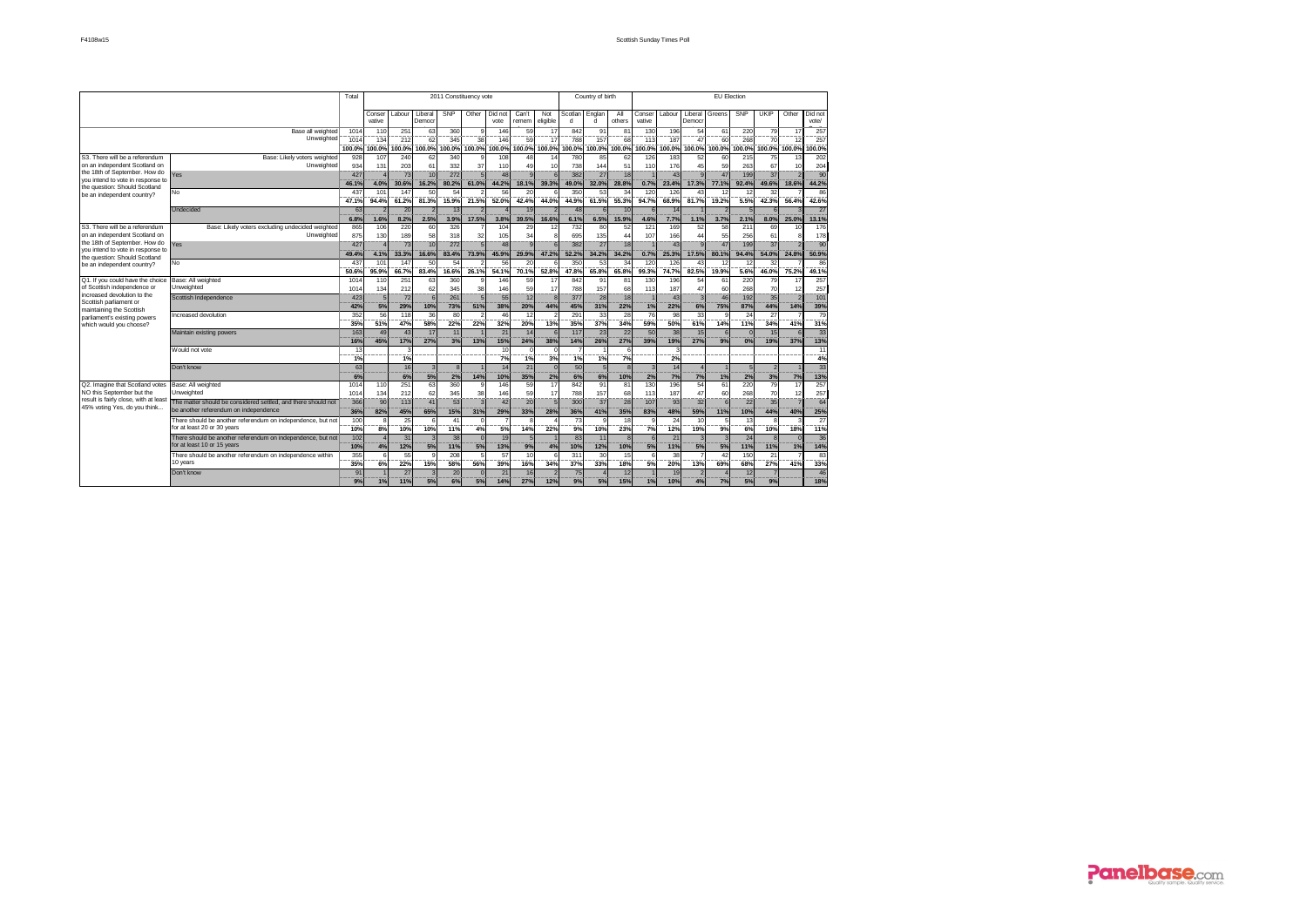|                                                                    |                                                                                            | Total        |                  |             |                   |              | 2011 Constituency vote  |                 |                         |                 |                             | Country of birth |               |                  |                        |                          | <b>EU Election</b>   |                     |                       |                      |                  |
|--------------------------------------------------------------------|--------------------------------------------------------------------------------------------|--------------|------------------|-------------|-------------------|--------------|-------------------------|-----------------|-------------------------|-----------------|-----------------------------|------------------|---------------|------------------|------------------------|--------------------------|----------------------|---------------------|-----------------------|----------------------|------------------|
|                                                                    |                                                                                            |              | Conser<br>vative | abour       | I iberal<br>Democ | SNP          | Other                   | Did not<br>vote | Can't<br>remem          | Not<br>eligible | Scotlar<br>$\mathbf d$      | Englan<br>d      | All<br>others | Conser<br>vative | about                  | Libera<br>Democr         | Greens               | SNP                 | UKIP                  | Other                | Did not<br>vote/ |
|                                                                    | Base all weighted                                                                          | 1014         | 110              | 251         | 63                | 360          |                         | 146             | 59                      | 17              | 842                         | 91               | 81            | 130              | 196                    | 54                       | 61                   | 220                 | 79                    | 17                   | 257              |
|                                                                    | Unweighted                                                                                 | 1014         | 134              | 212         | 62                | 345          | 38                      | 146             | 59                      | 17              | 788                         | 157              | 68            | 113              | 187                    | 47                       | 60                   | 268                 | 70                    | 12                   | 257              |
|                                                                    |                                                                                            | 100.0%       | 00.0%            | 100.0%      | 100.0%            | 100.0%       | 100.0%                  | 100.0%          | 100.0%                  | 100.0%          | 100.0%                      | 100.0%           | 100.0%        | 100.0%           | 100.0%                 | 100.0%                   | 100.0%               | 100.0%              | 100.0%                | 100.0%               | 100.0%           |
| S3. There will be a referendum<br>on an independent Scotland on    | Base: Likely voters weighted<br>Unweighted                                                 | 928          | 107              | 240         | 62                | 340          |                         | 108             | 48                      | 14              | 780                         | 85               | 62            | 126              | 183                    | 52                       | 60                   | 215                 | 75                    |                      | 202              |
| the 18th of September. How do                                      |                                                                                            | 934          | 131              | 203         | 61                | 332          | 37                      | 110             | 49                      | 10              | 738                         | 144              | 51            | 110              | 176                    | 45                       | 59                   | 263                 | 67                    | $\ddot{\phantom{1}}$ | 204              |
| vou intend to vote in response to                                  | Yes                                                                                        | 427<br>46.1% | 4.0%             | 73<br>30.6% | 10<br>16.2%       | 272          | 5<br>61.0%              | 48<br>44.2%     | 18.1%                   | 39.3%           | 382<br>49.0%                | 27<br>32.0%      | 18<br>28.8%   | 0.7%             | 43<br>23.4%            |                          | 47<br>77.1%          | 199<br><b>92.4%</b> | 37<br>49.6%           | 18.6%                | 90<br>44.2%      |
| the question: Should Scotland                                      | No                                                                                         | 437          | 101              | 147         | 50                | 80.2%<br>54  |                         | 56              | $\overline{20}$         |                 | 350                         | 53               | 34            | 120              | 126                    | 17.3%<br>43              | 12                   | 12                  | 32                    |                      | 86               |
| be an independent country?                                         |                                                                                            | 47.1%        | 94.4%            | 61.2%       | 81.3%             | 15.9%        | 21.5%                   | 52.0%           | 42.4%                   | 44.0%           | 44.9%                       | 61.5%            | 55.3%         | 94.7%            | 68.9%                  | 81.7%                    | 19.2%                | 5.5%                | 42.3%                 | 56.4%                | 42.6%            |
|                                                                    | Undecided                                                                                  | 63<br>6.8%   | 1.6%             | 20<br>8.2%  | 2.5%              | 13<br>3.9%   | 17.5%                   | 3.8%            | 1 <sup>5</sup><br>39.5% | 16.6%           | $\overline{\Delta}$<br>6.1% | 6.5%             | 15.9%         | 4.6%             | 1 <sub>1</sub><br>7.7% | 1.1%                     | 3.7%                 | 2.1%                | 8.0%                  | 25.0%                | 27<br>13.1%      |
| S3. There will be a referendum                                     | Base: Likely voters excluding undecided weighted                                           | 865          | 106              | 220         | 60                | 326          |                         | 104             | 29                      | 12              | 732                         | 80               | 52            | 121              | 169                    | 52                       | 58                   | 211                 | 69                    | 10                   | 176              |
| on an independent Scotland on                                      | Unweighted                                                                                 | 875          | 130              | 189         | 58                | 318          | 32                      | 105             | 34                      |                 | 695                         | 135              | 44            | 107              | 166                    | 44                       | 55                   | 256                 | 61                    |                      | 178              |
| the 18th of September. How do                                      | Yes                                                                                        | 427          |                  | 73          | 10                | 272          |                         | 48              |                         |                 | 382                         | 27               | 18            |                  | 4 <sup>5</sup>         |                          | 47                   | 199                 | 37                    |                      | 90               |
| vou intend to vote in response to                                  |                                                                                            | 49.4%        | 4.1%             | 33.3%       | 16.6%             | 83.4%        | 73.9%                   | 45.9%           | 29.9%                   | 47.2%           | 52.2%                       | 34.2%            | 34.2%         | 0.7%             | 25.3%                  | 17.5%                    | 80.1%                | 94.4%               | 54.0%                 | 24.8%                | 50.9%            |
| the question: Should Scotland<br>be an independent country?        | No                                                                                         | 437          | 101              | 147         | 50                | 54           |                         | 56              | $\overline{20}$         |                 | 350                         | 53               | 34            | 120              | 126                    | A.                       | 12                   | 12                  | 32                    |                      | 86               |
|                                                                    |                                                                                            | 50.6%        | 95.9%            | 66.7%       | 83.4%             | 16.6%        | 26.1%                   | 54.1%           | 70.1%                   | 52.8%           | 47.8%                       | 65.8%            | 65.8%         | 99.3%            | 74.7%                  | 82.5%                    | 19.9%                | 5.6%                | 46.0%                 | 75.2%                | 49.1%            |
| Q1. If you could have the choice                                   | Base: All weighted                                                                         | $101 -$      | 110              | 251         | 63                | 360          |                         | 146             | 59                      | 17              | 842                         | 91               | 81            | 130              | 196                    | 54                       | 61                   | 220                 | 79                    | 17                   | 257              |
| of Scottish independence or                                        | Unweighted                                                                                 | 1014         | 134              | 212         | 62                | 345          | 38                      | 146             | 59                      | 17              | 788                         | 157              | 68            | 113              | 187                    | 47                       | 60                   | 268                 | 70                    | 12                   | 257              |
| increased devolution to the<br>Scottish parliament or              | Scottish Independence                                                                      | 423          | $\epsilon$       | 72          | 6                 | 261          | 5                       | 55              | 12                      |                 | 377                         | 28               | 18            |                  | 43                     |                          | 46                   | 192                 | 35                    |                      | 101              |
| maintaining the Scottish                                           |                                                                                            | 42%          | 5%               | 29%         | 10%               | 73%          | 51%                     | 38%             | 20%                     | 44%             | 45%                         | 31%              | 22%           | 1%               | 22%                    | 6%                       | 75%                  | 87%                 | 44%                   | 14%                  | 39%              |
| parliament's existing powers                                       | Increased devolution                                                                       | 352          | 56               | 118         | 36                | 80           |                         | 46              | 12                      |                 | 291                         | 33               | 28            | 76               | 98                     | $\overline{33}$          |                      | 24                  | $\overline{27}$       |                      | 79               |
| which would you choose?                                            |                                                                                            | 35%          | 51%              | 47%         | 58%               | 22%          | 22%                     | 32%             | 20%                     | 13%             | 35%                         | 37%              | 34%           | 59%              | 50%                    | 61%                      | 14%                  | 11%                 | 34%                   | 41%                  | 31%              |
|                                                                    | Maintain existing powers                                                                   | 163<br>16%   | 49<br>45%        | 43<br>17%   | 17<br>27%         | 11<br>3%     | 13%                     | 21<br>15%       | 14<br>24%               | 38%             | 117<br>14%                  | 23<br>26%        | 22<br>27%     | 50<br>39%        | 38<br>19%              | 15<br>27%                | 6<br>9%              | $\Omega$<br>0%      | 15<br>19%             | 37%                  | 33<br>13%        |
|                                                                    | Would not vote                                                                             | 13           |                  |             |                   |              |                         | 10              |                         | C               |                             |                  |               |                  |                        |                          |                      |                     |                       |                      | 11               |
|                                                                    |                                                                                            | 1%           |                  | 1%          |                   |              |                         | 7%              | 1%                      | 3%              | 1%                          | 1%               | 7%            |                  | 2%                     |                          |                      |                     |                       |                      | 4%               |
|                                                                    | Don't know                                                                                 | 63           |                  | 16          | $\mathbf{3}$      | $\mathbf{a}$ |                         | 14              | 21                      | $\mathfrak{c}$  | 50                          | 5                |               |                  | 14                     |                          |                      |                     | $\overline{2}$        |                      | 33               |
|                                                                    |                                                                                            | 6%           |                  | 6%          | 5%                | 2%           | 14%                     | 10%             | 35%                     | 2%              | 6%                          | 6%               | 10%           | 2%               | 7%                     | 7%                       | 1%                   | 2%                  | 3%                    | 7%                   | 13%              |
| Q2. Imagine that Scotland votes                                    | Base: All weighted                                                                         | 1014         | 110              | 251         | 63                | 360          | q                       | 146             | 59                      | 17              | 842                         | 91               | 81            | 130              | 196                    | 54                       | 61                   | 220                 | 79                    | 17                   | 257              |
| NO this September but the<br>result is fairly close, with at least | Unweighted                                                                                 | 1014         | 134              | 212         | 62                | 345          | 38                      | 146             | 59                      | 17              | 788                         | 157              | 68            | 113              | 187                    | 47                       | 60                   | 268                 | 70                    | 12                   | 257              |
| 45% voting Yes, do you think                                       | The matter should be considered settled, and there should not                              | 366          | 90               | 113         | 41                | 53           | $\overline{\mathbf{a}}$ | 42              | 20                      |                 | 300                         | 37               | 28            | 107              | 93                     | 32                       | $\overline{6}$       | 22                  | 35                    |                      | 64               |
|                                                                    | be another referendum on independence                                                      | 36%          | 82%              | 45%         | 65%               | 15%          | 31%                     | 29%             | 33%                     | 28%             | 36%                         | 41%              | 35%           | 83%              | 48%                    | 59%                      | 11%                  | 10%                 | 44%                   | 40%                  | 25%              |
|                                                                    | There should be another referendum on independence, but not<br>for at least 20 or 30 years | 100          |                  | 25          | 6                 | 41           | $\Omega$                |                 |                         | $\Delta$        | 73                          |                  | 18            |                  | 24                     | 10                       |                      | 13                  |                       |                      | 27               |
|                                                                    |                                                                                            | 10%<br>102   | 8%               | 10%<br>31   | 10%               | 11%<br>38    | 4%<br>$\Omega$          | 5%<br>19        | 14%                     | 22%             | 9%                          | 10%<br>11        | 23%           | 7%               | 12%                    | 19%                      | 9%<br>$\overline{3}$ | 6%                  | 10%<br>$\overline{a}$ | 18%                  | 11%<br>36        |
|                                                                    | There should be another referendum on independence, but not<br>for at least 10 or 15 years |              |                  |             | 5%                |              | 5%                      |                 |                         |                 | 83                          |                  |               | 5%               | 21                     | 5%                       | 5%                   | 24                  |                       |                      |                  |
|                                                                    | There should be another referendum on independence within                                  | 10%<br>355   | 4%<br>$\epsilon$ | 12%<br>55   | $\overline{9}$    | 11%<br>208   | $\overline{a}$          | 13%<br>57       | 9%<br>10                | 4%<br>-6        | 10%<br>311                  | 12%<br>30        | 10%<br>15     | 6                | 11%<br>38              |                          | 42                   | 11%<br>150          | 11%<br>21             | 1%                   | 14%<br>83        |
|                                                                    | 10 years                                                                                   | 35%          | 6%               | 22%         | 15%               | 58%          | 56%                     | 39%             | 16%                     | 34%             | 37%                         | 33%              | 18%           | 5%               | 20 <sup>o</sup>        | 13%                      | 69%                  | 68%                 | 27%                   | 41%                  | 33%              |
|                                                                    | Don't know                                                                                 | 91           |                  | 27          | $\mathbf{3}$      | 20           | $\Omega$                | 21              | 16                      | 2               | 75                          |                  | 12            |                  | 19                     | $\overline{\phantom{a}}$ | $\overline{A}$       | 12                  | $\overline{7}$        |                      | 46               |
|                                                                    |                                                                                            | 9%           | 1%               | 11%         | 5%                | 6%           | 5%                      | 14%             | 27%                     | 12%             | 9%                          | 5%               | 15%           | 1%               | 10%                    | 4%                       | 7%                   | 5%                  | 9%                    |                      | 18%              |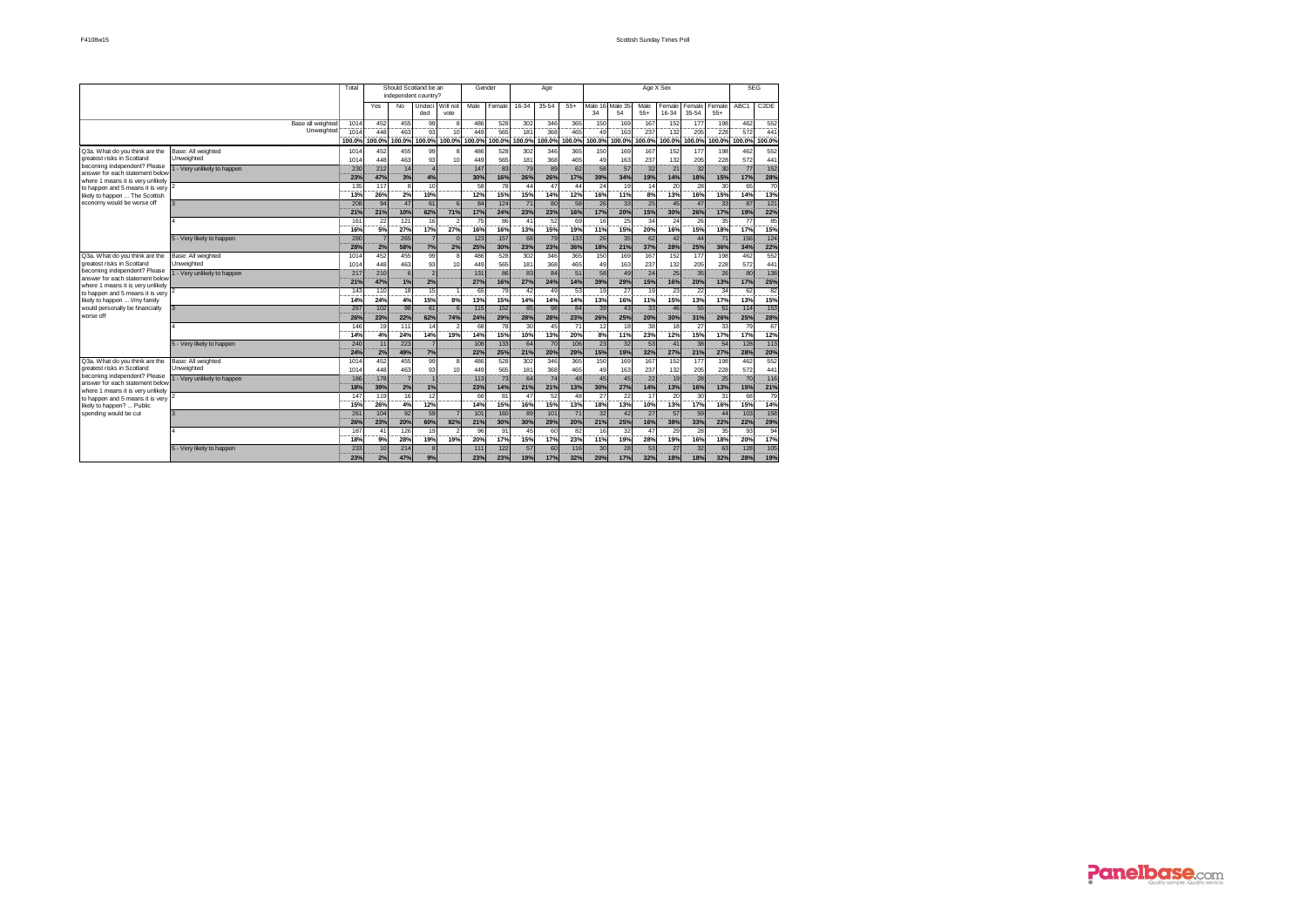|                                                                       |                                  | Total          |               |               | Should Scotland be an<br>independent country? |                       | Gender        |               |               | Age           |               |                          |                       | Age X Sex       |                     |                     |                 | <b>SEG</b>       |                   |
|-----------------------------------------------------------------------|----------------------------------|----------------|---------------|---------------|-----------------------------------------------|-----------------------|---------------|---------------|---------------|---------------|---------------|--------------------------|-----------------------|-----------------|---------------------|---------------------|-----------------|------------------|-------------------|
|                                                                       |                                  |                | Yes           | No            | Undeci<br>ded                                 | Will not<br>vote      | Male          | Female        | $16 - 34$     | $35 - 54$     | $55+$         | 34                       | Male 16-Male 35<br>54 | Male<br>$55+$   | Female<br>$16 - 34$ | Female<br>$35 - 54$ | Female<br>$55+$ | ABC <sub>1</sub> | C <sub>2</sub> DE |
|                                                                       | Base all weighted                | 1014           | 452           | 455           | 99                                            | $\mathbf{a}$          | 486           | 528           | 302           | 346           | 365           | 150                      | 169                   | 167             | 152                 | 177                 | 198             | 462              | 552               |
|                                                                       | Unweighted                       | 1014<br>100.0% | 448<br>100.0% | 463<br>100.0% | 9<br>100.0%                                   | 10<br>100.0%          | 449<br>100.0% | 565<br>100.0% | 181<br>100.0% | 368<br>100.0% | 465<br>100.0% | 4 <sup>c</sup><br>100.0% | 163<br>100.0%         | 237<br>100.0%   | 132<br>100.0%       | 205<br>100.0%       | 228<br>100.0%   | 572<br>100.0%    | 441<br>100.0%     |
| Q3a. What do you think are the                                        | Base: All weighted               | 1014           | 452           | 455           | 99                                            |                       | 486           | 528           | 302           | 346           | 365           | 150                      | 169                   | 167             | 152                 | 177                 | 198             | 462              | 552               |
| greatest risks in Scotland                                            | Unweighted                       | 1014           | 448           | 463           | 93                                            | 10                    | 449           | 565           | 181           | 368           | 465           | 49                       | 163                   | 237             | 132                 | 205                 | 228             | 572              | 441               |
| becoming independent? Please<br>answer for each statement below       | - Very unlikely to happen        | 230            | 212           | 14            |                                               |                       | 147           | 83            | 79            | 89            | 62            | 58                       | 57                    | 32              | 21                  | 32                  | 30              | 77               | 152               |
| where 1 means it is very unlikely                                     |                                  | 23%            | 47%           | 3%            | 4%                                            |                       | 30%           | 16%           | 26%           | 26%           | 17%           | 39%                      | 34%                   | 19%             | 14%                 | 18%                 | 15%             | 17%              | 28%               |
| to happen and 5 means it is very                                      |                                  | 135            | 117           |               | 10                                            |                       | 58            | 78            | 44            | 47            | 44            | 24                       | 19                    | 14              | 20                  | 28                  | 30              | 65               | 70                |
| likely to happen  The Scottish<br>economy would be worse off          |                                  | 13%<br>208     | 26%<br>94     | 2%<br>47      | 10%<br>61                                     | $6\overline{6}$       | 12%<br>84     | 15%<br>124    | 15%<br>71     | 14%<br>80     | 12%<br>58     | 16%<br>26                | 11%<br>33             | 8%<br>25        | 13%<br>45           | 16%<br>47           | 15%<br>33       | 14%<br>87        | 13%<br>121        |
|                                                                       |                                  | 21%            | 21%           | 10%           | 62%                                           | 71%                   | 17%           | 24%           | 23%           | 23%           | 16%           | 17%                      | 20%                   | 15%             | 30%                 | 26%                 | 17%             | 19%              | 22%               |
|                                                                       |                                  | 161            | 22            | 121           | 16                                            | $\mathfrak{p}$        | 75            | 86            | 41            | 52            | 69            | 16                       | 25                    | 34              | 24                  | 26                  | 35              | 77               | 85                |
|                                                                       |                                  | 16%            | 5%            | 27%           | 17%                                           | 27%                   | 16%           | 16%           | 13%           | 15%           | 19%           | 11%                      | 15%                   | 20%             | 16%                 | 15%                 | 18%             | 17%              | 15%               |
|                                                                       | 5 - Very likely to happen        | 280            |               | 265           | $\overline{7}$                                | $\Omega$              | 123           | 157           | 68            | 79            | 133           | 26                       | 35                    | 62              | 42                  | 44                  | 71              | 156              | 124               |
|                                                                       |                                  | 28%            | 2%            | 58%           | 7%                                            | 2%                    | 25%           | 30%           | 23%           | 23%           | 36%           | 18%                      | 21%                   | 37%             | 28%                 | 25%                 | 36%             | 34%              | 22%               |
| Q3a. What do you think are the<br>greatest risks in Scotland          | Base: All weighted<br>Unweighted | 1014           | 452           | 455           | 99                                            | 8<br>10 <sub>10</sub> | 486<br>449    | 528           | 302<br>181    | 346           | 365           | 150                      | 169                   | 167<br>237      | 152<br>132          | 177<br>205          | 198             | 462<br>572       | 552               |
| becoming independent? Please                                          | 1 - Very unlikely to happen      | 1014<br>217    | 448<br>210    | 463           | 93<br>$\overline{2}$                          |                       | 131           | 565<br>86     | 83            | 368<br>84     | 465<br>51     | 49<br>58                 | 163<br>49             | $\overline{24}$ | 25                  | 35                  | 228<br>26       | 80               | 441<br>138        |
| answer for each statement below                                       |                                  | 21%            | 47%           | 1%            | 2%                                            |                       | 27%           | 16%           | 27%           | 24%           | 14%           | 39%                      | 29%                   | 15%             | 16%                 | 20%                 | 13%             | 17%              | 25%               |
| where 1 means it is very unlikely<br>to happen and 5 means it is very |                                  | 143            | 110           | 18            | 15                                            |                       | 65            | 79            | 42            | 49            | 53            | 19                       | 27                    | 19              | 23                  | 22                  | 34              | 62               | 82                |
| likely to happen  I/my family                                         |                                  | 14%            | 24%           | 4%            | 15%                                           | 8%                    | 13%           | 15%           | 14%           | 14%           | 14%           | 13%                      | 16%                   | 11%             | 15%                 | 13%                 | 17%             | 13%              | 15%               |
| would personally be financially                                       |                                  | 267            | 102           | 98            | 61                                            | F                     | 115           | 152           | 85            | 98            | 84            | 39                       | 43                    | 33              | 46                  | 55                  | 51              | 114              | 153               |
| worse off                                                             |                                  | 26%            | 23%           | 22%           | 62%                                           | 74%                   | 24%           | 29%           | 28%           | 28%           | 23%           | 26%                      | 25%                   | 20%             | 30%                 | 31%                 | 26%             | 25%              | 28%               |
|                                                                       |                                  | 146<br>14%     | 19<br>4%      | 111<br>24%    | 14                                            | 19%                   | 68<br>14%     | 78<br>15%     | 30            | 45<br>13%     | 71<br>20%     | 12                       | 18<br>11%             | 38<br>23%       | 18<br>12%           | 27<br>15%           | 33<br>17%       | 79<br>17%        | 67                |
|                                                                       | 5 - Very likely to happen        | 240            | 11            | 223           | 14%<br>$\overline{z}$                         |                       | 108           | 133           | 10%<br>64     | 70            | 106           | 8%<br>23                 | 32                    | 53              | 41                  | 38                  | 54              | 128              | 12%<br>113        |
|                                                                       |                                  | 24%            | 2%            | 49%           | 7%                                            |                       | 22%           | 25%           | 21%           | 20%           | 29%           | 15%                      | 19%                   | 32%             | 27%                 | 21%                 | 27%             | 28%              | 20%               |
| Q3a. What do you think are the                                        | Base: All weighted               | 1014           | 452           | 455           | 99                                            |                       | 486           | 528           | 302           | 346           | 365           | 150                      | 169                   | 167             | 152                 | 177                 | 198             | 462              | 552               |
| greatest risks in Scotland                                            | Unweighted                       | 1014           | 448           | 463           | 93                                            | 10 <sub>10</sub>      | 449           | 565           | 181           | 368           | 465           | 49                       | 163                   | 237             | 132                 | 205                 | 228             | 572              | 441               |
| becoming independent? Please<br>answer for each statement below       | I - Very unlikely to happen      | 186            | 178           |               |                                               |                       | 113           | 73            | 64            | 74            | 48            | 45                       | 45                    | $\overline{22}$ | 19                  | 28                  | 25              | 70               | 116               |
| where 1 means it is very unlikely                                     |                                  | 18%            | 39%           | 2%            | 1%                                            |                       | 23%           | 14%           | 21%           | 21%           | 13%           | 30%                      | 27%                   | 14%             | 13%                 | 16%                 | 13%             | 15%              | 21%               |
| to happen and 5 means it is very                                      |                                  | 147<br>15%     | 119<br>26%    | 16<br>4%      | 12<br>12%                                     |                       | 66<br>14%     | 81<br>15%     | 47<br>16%     | 52<br>15%     | 48<br>13%     | 27<br>18%                | 22<br>13%             | 17<br>10%       | 20<br>13%           | 30<br>17%           | 31<br>16%       | 68<br>15%        | 79<br>14%         |
| likely to happen?  Public<br>spending would be cut                    |                                  | 261            | 104           | 92            | 59                                            |                       | 101           | 160           | 89            | 101           | 71            | 32                       | 42                    | 27              | 57                  | 59                  | 44              | 103              | 158               |
|                                                                       |                                  | 26%            | 23%           | 20%           | 60%                                           | 82%                   | 21%           | 30%           | 30%           | 29%           | 20%           | 21%                      | 25%                   | 16%             | 38%                 | 33%                 | 22%             | 22%              | 29%               |
|                                                                       |                                  | 187            | 41            | 126           | 19                                            |                       | 96            | 91            | 45            | 60            | 82            | 16                       | 32                    | 47              | 29                  | 28                  | 35              | 93               | 94                |
|                                                                       |                                  | 18%            | 9%            | 28%           | 19%                                           | 19%                   | 20%           | 17%           | 15%           | 17%           | 23%           | 11%                      | 19%                   | 28%             | 19%                 | 16%                 | 18%             | 20%              | 17%               |
|                                                                       | 5 - Very likely to happen        | 233            | 10            | 214           | g                                             |                       | 111           | 122           | 57            | 60            | 116           | 30                       | 28                    | 53              | 27                  | 32                  | 63              | 128              | 105               |
|                                                                       |                                  | 23%            | 2%            | 47%           | 9%                                            |                       | 23%           | 23%           | 19%           | 17%           | 32%           | 20%                      | 17%                   | 32%             | 18%                 | 18%                 | 32%             | 28%              | 19%               |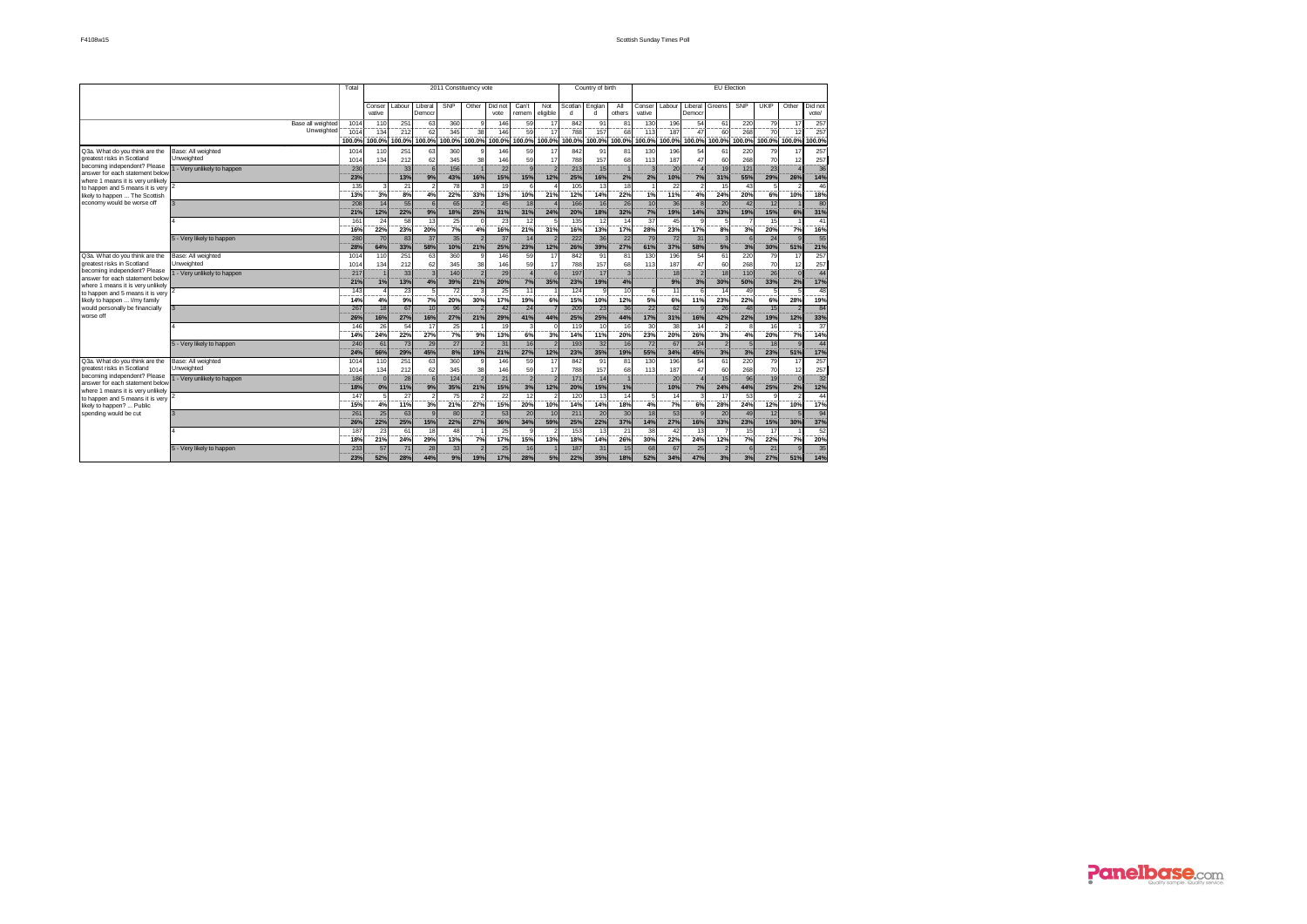| 230 |     | 33<br>. |     | 156             |     | 22  |            | $\mathcal{P}$  | 213<br>    |     |     |      | 20 <sub>1</sub><br>. |     | 19  | 121 | 23<br>.              |     | 36           |
|-----|-----|---------|-----|-----------------|-----|-----|------------|----------------|------------|-----|-----|------|----------------------|-----|-----|-----|----------------------|-----|--------------|
| 23% |     | 13%     | 9%  | 43%             | 16% | 15% | <b>15%</b> | 12%            | 25%        | 16% | 2%  | 2%   | 10%                  | 7%  | 31% | 55% | 29%                  | 26% | 14%          |
| 135 |     |         |     | 78              |     |     |            |                |            |     |     |      |                      |     | 15  |     |                      |     |              |
| 13% | 3%  | 8%      | 4%  | 22%             | 33% | 13% | 10%        | 21%            | <b>12%</b> | 14% | 22% | 1%   | 11%                  | 4%  | 24% | 20% | 6%                   | 10% | 18%          |
| 208 |     |         |     | 65              |     | 45  |            | $\overline{4}$ | 166<br>    |     | .   |      |                      |     | 20  |     | 12 <sup>1</sup><br>. |     | $\mathbf{R}$ |
| 21% | 12% | 22%     | 9%  | 18%             | 25% | 31% | 31%        | 24%            | 20%        | 18% | 32% | 7%   | 19%                  | 14% | 33% | 19% | 15%                  | 6%  | 31%          |
| 161 |     | 58      |     | 25              |     | 23  |            |                | 135'       |     |     |      |                      |     |     |     |                      |     |              |
| 16% | 22% | 23%     | 20% | 7%              | 4%  | 16% | 21%        | 31%            | <b>16%</b> | 13% | 17% | 28%  | 23%                  | 17% | 8%  | 3%  | 20%                  | 7%  | 16%          |
| 280 |     | 83      |     | 35 <sub>1</sub> |     | 37  |            |                | 222        | 36  |     | 79 I |                      |     |     |     |                      |     | 55           |
| 28% |     | 33%     | 58% | 10%             | 21% | 25% | 23%        | 12%            | 26%        | 39% | 27% | 61%  | 37%                  | 58% | 5%  | 3%  | 30%                  | 51% | 21%          |

2011 Constituency vote Country of birth EU Election

|                                                                      |                                  |            | Conser<br>vative | Labour    | I ibera<br>Democ | SNP       | Other  | Did not<br>vote | Can't<br>remen       | Not<br>eligible          | Scotlan<br>d | Englan<br>d | All<br>others | Conser<br>vative | Labour                 | I iberal<br>Democ | Greens                   | SNP          | LIKIP      | Other          | Did not<br>vote/      |
|----------------------------------------------------------------------|----------------------------------|------------|------------------|-----------|------------------|-----------|--------|-----------------|----------------------|--------------------------|--------------|-------------|---------------|------------------|------------------------|-------------------|--------------------------|--------------|------------|----------------|-----------------------|
|                                                                      | Base all weighted                | 1014       | 110              | 251       | 63               | 360       |        | 146             | 59                   | 17                       | 842          | 91          | 8             | 130              | 196                    | 54                | 61                       | 220          | 79         | 17             | 257                   |
|                                                                      | Unweighted                       | 1014       | 134              | 212       | 62               | 345       | 36     | 146             | 59                   | 17                       | 788          | 157         | 68            | 113              | 187                    | 47                | 60                       | 268          | 70         | 12             | 257                   |
|                                                                      |                                  | 100.0%     | 100.0%           | 100.0%    | 100.0%           | 100.0%    | 100.0% | 100.0%          | 100.0%               | 100.0%                   | 100.0%       | 100.0%      | 100.0%        | 100.0%           | 100.0%                 | 100.0%            | 100.0%                   | 100.0%       | 100.0%     | 100.0%         | 100.0%                |
| Q3a. What do you think are the                                       | Base: All weighted               | 1014       | 110              | 251       | 63               | 360       |        | 146             | 59                   | 17                       | 842          | 91          | 81            | 130              | 196                    | 54                | 61                       | 220          | 79         | 17             | 257                   |
| greatest risks in Scotland                                           | Unweighted                       | 1014       | 134              | 212       | 62               | 345       | 38     | 146             | 59                   | 17                       | 788          | 157         | 68            | 113              | 187                    | 47                | 60                       | 268          | 70         | 12             | 257                   |
| becoming independent? Please                                         | - Very unlikely to happen        | 230        |                  | 33        | $6\overline{6}$  | 156       |        | 22              | $\alpha$             | $\overline{\phantom{a}}$ | 213          | 15          |               |                  | 20                     |                   | 19                       | 121          | 23         |                | 36                    |
| answer for each statement below<br>where 1 means it is very unlikely |                                  | 23%        |                  | 13%       | 9%               | 43%       | 16%    | 15%             | 15%                  | 12%                      | 25%          | 16%         | 2%            | 2%               | 10%                    | 7%                | 31%                      | 55%          | 29%        | 26%            | 14%                   |
| to happen and 5 means it is very                                     |                                  | 135        | 3                | 21        | $\mathfrak{p}$   | 78        |        | 19              | 6                    |                          | 105          | 13          | 18            |                  | 22                     | $\overline{2}$    | 15                       | 43           |            |                | 46                    |
| likely to happen  The Scottish                                       |                                  | 13%        | 3%               | 8%        | 4%               | 22%       | 33%    | 13%             | 10%                  | 21%                      | 12%          | 14%         | 22%           | 1%               | 11%                    | 4%                | 24%                      | 20%          | 6%         | 10%            | 18%                   |
| economy would be worse off                                           |                                  | 208        | 14               | 55        | $6\overline{6}$  | 65        |        | 45              | 18                   |                          | 166          | 16          | 26            | 10               | 36                     | $\mathbf{a}$      | 20                       | 42           | 12         |                | 80                    |
|                                                                      |                                  | 21%        | 12%              | 22%       | 9%               | 18%       | 25%    | 31%             | 31%                  | 24%                      | 20%          | 18%         | 32%           | 7%               | 19%                    | 14%               | 33%                      | 19%          | 15%        | 6%             | 31%                   |
|                                                                      |                                  | 161        | 24               | 58        | 13               | 25        |        | 23              | 12                   | 5                        | 135          | 12          | 14            | 37               | 45                     | 9                 |                          |              | 15         |                | $\mathbf{4}^{\prime}$ |
|                                                                      |                                  | 16%        | 22%              | 23%       | 20%              | 7%        | 4%     | 16%             | 21%                  | 31%                      | 16%          | 13%         | 17%           | 28%              | 23%                    | 17%               | 8%                       | 3%           | 20%        | 7%             | 16%                   |
|                                                                      | 5 - Very likely to happen        | 280        | 70               | 83        | 37               | 35        |        | 37              | 14                   | $\overline{\phantom{a}}$ | 222          | 36          | 22            | 79               | 72                     | 31                | 3                        |              | 24         | $\alpha$       | 55                    |
|                                                                      |                                  | 28%        | 64%              | 33%       | 58%              | 10%       | 21%    | 25%             | 23%                  | 12%                      | 26%          | 39%         | 27%           | 61%              | 37%                    | 58%               | 5%                       | 3%           | 30%        | 51%            | 21%                   |
| Q3a. What do you think are the                                       | Base: All weighted               | 1014       | 110              | 251       | 63               | 360       |        | 146             | 59                   | 17                       | 842          | 91          | 81            | 130              | 196                    | 54                | 61                       | 220          | 79         | 17             | 257                   |
| greatest risks in Scotland<br>becoming independent? Please           | Unweighted                       | 1014       | 134              | 212       | 62               | 345       | 38     | 146             | 59                   | 17                       | 788          | 157         | 68            | 113              | 187                    | 47                | 60                       | 268          | 70         | 12             | 257                   |
| answer for each statement below                                      | - Very unlikely to happen        | 217        |                  | 33        | $\overline{3}$   | 140       |        | 29              |                      | 6                        | 197          | 17          |               |                  | 18                     | $\overline{2}$    | 18                       | 110          | 26         | $\Omega$       | 44                    |
| where 1 means it is very unlikely                                    |                                  | 21%        | 1%               | 13%       | 4%               | 39%       | 21%    | 20%             | 7%                   | 35%                      | 23%          | 19%         | 4%            |                  | 9%                     | 3%                | 30%                      | 50%          | 33%        | 2%             | 17%                   |
| to happen and 5 means it is very                                     |                                  | 143        |                  | 23        |                  | 72        |        | 25              | 11                   |                          | 124          |             | 10            |                  | 11                     |                   | 14                       | 49           |            |                | 48                    |
| likely to happen  I/my family                                        |                                  | 14%        | 4%               | 9%        | 7%               | 20%       | 30%    | 17%             | 19%                  | 6%                       | 15%          | 10%         | 12%           | 5%               | 6%                     | 11%               | 23%                      | 22%          | 6%         | 28%            | 19%                   |
| would personally be financially<br>worse off                         |                                  | 267        | 18               | 67        | 10               | 96        |        | 42              | 24                   |                          | 209          | 23          | 36            | 22               | 62                     | $\overline{a}$    | 26                       | 48           | 15         |                | 84                    |
|                                                                      |                                  | 26%        | 16%              | 27%       | 16%              | 27%       | 21%    | 29%             | 41%                  | 44%                      | 25%          | 25%         | 44%           | 17%              | 31%                    | 16%               | 42%                      | 22%          | 19%        | 12%            | 33%                   |
|                                                                      |                                  | 146        | 26               | 54        | 17               | 25        |        | 19              | -3                   | $\Omega$                 | 119          | 10          | 16            | 30               | 38                     | 14                | $\mathfrak{p}$           | $\mathbf{a}$ | 16         |                | 37                    |
|                                                                      |                                  | 14%        | 24%              | 22%       | 27%              | 7%        | 9%     | 13%             | 6%                   | 3%                       | 14%          | 11%         | 20%           | 23%              | <b>20%</b>             | 26%               | 3%                       | 4%           | <b>20%</b> | 7%             | 14%                   |
|                                                                      | 5 - Very likely to happen        | 240        | 61               | 73        | 29               | 27        |        | 31              | 16                   | $\overline{2}$           | 193          | 32          | 16            | 72               | 67                     | 24                | $\overline{\phantom{a}}$ |              | 18         | $\alpha$       | 44                    |
|                                                                      |                                  | 24%        | 56%              | 29%       | 45%              | 8%        | 19%    | 21%             | 27%<br>59            | 12%                      | 23%          | 35%         | 19%           | 55%              | 34%                    | 45%               | 3%                       | 3%           | 23%        | 51%            | 17%                   |
| Q3a. What do you think are the<br>greatest risks in Scotland         | Base: All weighted<br>Unweighted | 1014       | 110              | 251       | 63               | 360       |        | 146             |                      | 17                       | 842          | 91<br>157   | 81            | 130<br>113       | 196                    | 54                | 61                       | 220          | 79         | 17             | 257                   |
| becoming independent? Please                                         |                                  | 1014       | 134              | 212       | 62               | 345       | 38     | 146             | 59<br>$\overline{z}$ | 17                       | 788<br>171   |             | 68            |                  | 187<br>$\overline{20}$ | 47                | 60                       | 268<br>96    | 70         | 12<br>$\Omega$ | 257                   |
| answer for each statement below                                      | - Very unlikely to happen        | 186        |                  | 28        | $6\overline{6}$  | 124       |        | $\overline{21}$ |                      | $\overline{\phantom{a}}$ |              | 14          |               |                  |                        |                   | 15                       |              | 19         |                | 32                    |
| where 1 means it is very unlikely                                    |                                  | 18%        | 0%               | 11%       | 9%               | 35%       | 21%    | 15%             | 3%                   | 12%                      | <b>20%</b>   | 15%<br>13   | 1%<br>14      | 5                | 10%                    | 7%<br>з           | 24%<br>17                | 44%<br>53    | 25%<br>K   | 2%             | 12%<br>44             |
| to happen and 5 means it is very                                     |                                  | 147<br>15% | 4%               | 27<br>11% | 3%               | 75<br>21% | 27%    | 22<br>15%       | 12<br>20%            | 10%                      | 120<br>14%   | 14%         | 18%           | 4%               | 14<br>7%               | 6%                | 28%                      | 24%          | 12%        | 10%            | 17%                   |
| likely to happen?  Public<br>spending would be cut                   |                                  |            |                  |           |                  |           |        |                 |                      |                          | 211          |             |               |                  |                        |                   |                          |              |            |                |                       |
|                                                                      |                                  | 261        | 25               | 63        | $\Omega$         | 80        |        | 53              | 20                   | 10                       |              | 20          | 30            | 18               | 53                     | $\mathbf{Q}$      | 20                       | 49           | 12         |                | 94                    |
|                                                                      |                                  | 26%        | 22%              | 25%       | 15%              | 22%<br>48 | 27%    | 36%             | 34%                  | 59%                      | 25%<br>153   | 22%         | 37%           | 14%              | 27%                    | 16%<br>13         | 33%                      | 23%          | 15%        | 30%            | 37%                   |
|                                                                      |                                  | 187        | 23               | 61        | 18               |           |        | 25              |                      |                          |              | 13          | 21            | 38               | 42                     |                   |                          | 15           | 17         |                | 52                    |
|                                                                      |                                  | 18%        | 21%              | 24%       | 29%              | 13%       | 7%     | 17%             | 15%                  | 13%                      | 18%          | 14%         | 26%           | 30%              | 22%                    | 24%               | 12%                      | 7%           | 22%        | 7%             | 20%                   |
|                                                                      | 5 - Very likely to happen        | 233        | 57               | 71        | 28               | 33        |        | 25              | 16                   |                          | 187          | 31          | 15            | 68               | 67                     | 25                | $\mathfrak{p}$           |              | 21         | $\Omega$       | 35                    |
|                                                                      |                                  | 23%        | 52%              | 28%       | 44%              | 9%        | 19%    | 17%             | 28%                  | 5%                       | 22%          | 35%         | 18%           | 52%              | 34%                    | 47%               | 3%                       | 3%           | 27%        | 51%            | 14%                   |

Total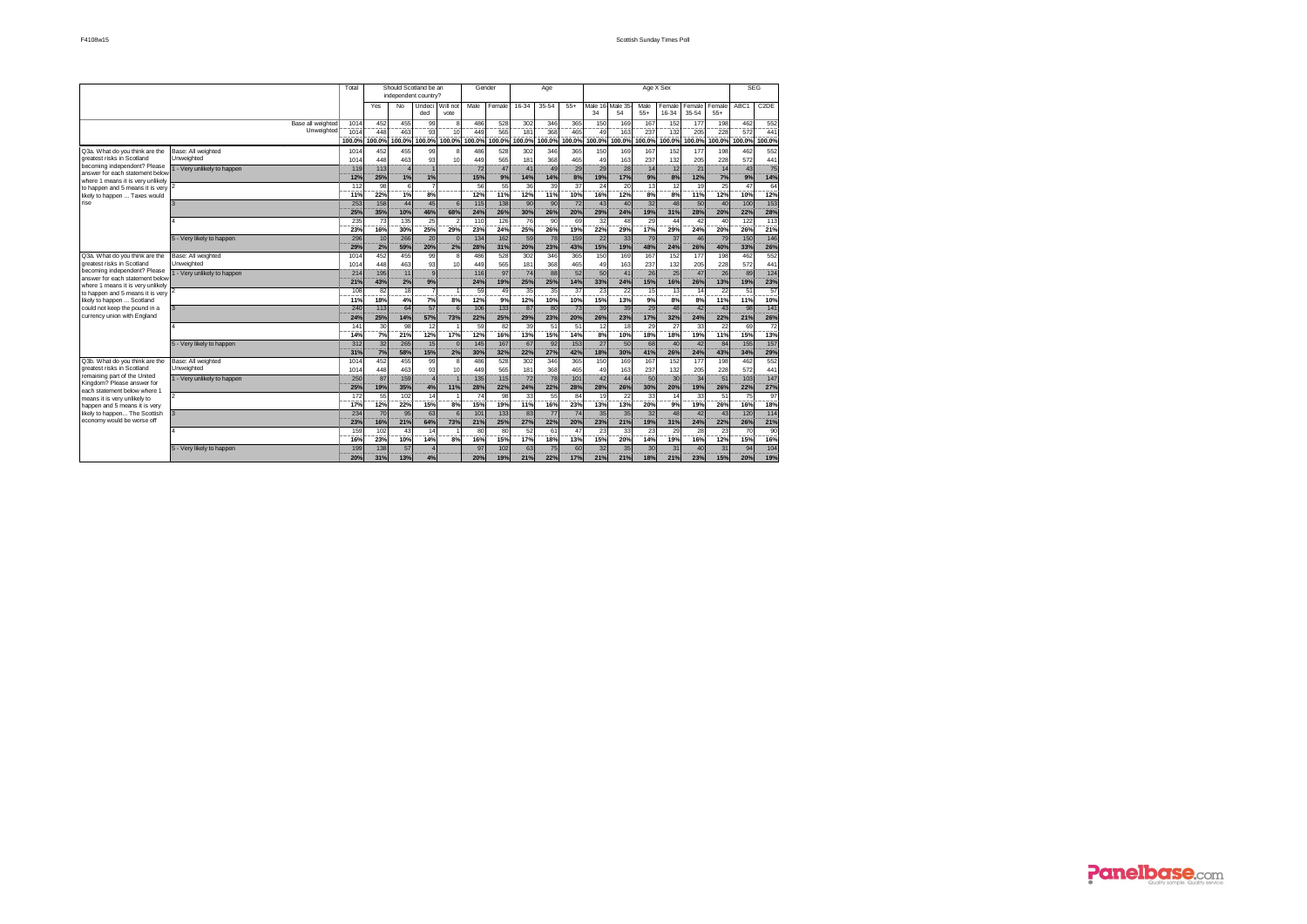| F4108w15 |  |
|----------|--|
|          |  |

|                                                                 |                                  |            |            | Should Scotland be an<br>independent country? |                       |                   |            | Gender     |           | Age       |            |           |                       | Age X Sex     |                     |                 |                 |            | <b>SEG</b>        |
|-----------------------------------------------------------------|----------------------------------|------------|------------|-----------------------------------------------|-----------------------|-------------------|------------|------------|-----------|-----------|------------|-----------|-----------------------|---------------|---------------------|-----------------|-----------------|------------|-------------------|
|                                                                 |                                  |            | Yes        | No                                            | Undeci<br>ded         | Will not<br>vote  | Male       | Female     | 16-34     | $35 - 54$ | $55+$      | 34        | Male 16 Male 35<br>54 | Male<br>$55+$ | Female<br>$16 - 34$ | Female<br>35-54 | Female<br>$55+$ | ABC1       | C <sub>2</sub> DE |
|                                                                 | Base all weighted                | 1014       | 452        | 455                                           | 99                    | F                 | 486        | 528        | 302       | 346       | 365        | 150       | 169                   | 167           | 152                 | 177             | 198             | 462        | 552               |
|                                                                 | Unweighted                       | 1014       | 448        | 463                                           | 93                    | 10                | 449        | 565        | 181       | 368       | 465        | 49        | 163                   | 237           | 132                 | 205             | 228             | 572        | 441               |
|                                                                 |                                  | 100.0%     | 00.0%      | 100.0%                                        | 100.0%                | 100.0%            | 100.0%     | 100.0%     | 100.0%    | 100.0%    | 100.0%     | 100.0%    | 100.0%                | 100.0%        | 100.0%              | 100.0%          | 100.0%          | 100.0%     | 100.0%            |
| Q3a. What do you think are the                                  | Base: All weighted               | 1014       | 452        | 455                                           | 99                    |                   | 486        | 528        | 302       | 346       | 365        | 150       | 169                   | 167           | 152                 | 177             | 198             | 462        | 552               |
| greatest risks in Scotland                                      | Unweighted                       | 1014       | 448        | 463                                           | 93                    | 10                | 449        | 565        | 181       | 368       | 465        | 49        | 163                   | 237           | 132                 | 205             | 228             | 572        | 441               |
| becoming independent? Please<br>answer for each statement below | - Very unlikely to happen        | 119        | 113        | $\overline{A}$                                |                       |                   | 72         | 47         | 41        | 49        | 29         | 29        | 28                    | 14            | 12                  | 21              | 14              | 43         | 75                |
| where 1 means it is very unlikely                               |                                  | 12%        | 25%        | 1%                                            | 1%                    |                   | 15%        | 9%         | 14%       | 14%       | 8%         | 19%       | 17%                   | 9%            | 8%                  | 12%             | 7%              | 9%         | 14%               |
| to happen and 5 means it is very                                |                                  | 112        | 98         | 6                                             |                       |                   | 56         | 55         | 36        | 39        | 37         | 24        | 20                    | 13            | 12                  | 19              | $\overline{25}$ | 47         | 64                |
| likely to happen  Taxes would                                   |                                  | 11%        | 22%        | 1%                                            | 8%                    |                   | 12%        | 11%        | 12%       | 11%       | 10%        | 16%       | 12%                   | 8%            | 8%                  | 11%             | 12%             | 10%        | 12%               |
| rise                                                            |                                  | 253        | 158        | 44                                            | 45                    | $\epsilon$        | 115        | 138        | 90        | 90        | 72         | 43        | 40                    | 32            | 48                  | 50              | 40              | 100        | 153               |
|                                                                 |                                  | 25%        | 35%        | 10%                                           | 46%                   | 68%               | 24%        | 26%        | 30%       | 26%       | 20%        | 29%       | 24%                   | 19%           | 31%                 | 28%             | 20%             | 22%        | 28%               |
|                                                                 |                                  | 235        | 73         | 135                                           | 25                    |                   | 110        | 126        | 76        | 90        | 69         | 32        | 48                    | 29            | 44                  | 42              | 40              | 122        | 113               |
|                                                                 |                                  | 23%        | 16%        | 30%                                           | 25%                   | 29%               | 23%        | 24%        | 25%       | 26%       | 19%        | 22%       | 29%                   | 17%           | 29%                 | 24%             | 20%             | 26%        | 21%               |
|                                                                 | 5 - Very likely to happen        | 296        | 10         | 266                                           | 20                    | $\Omega$          | 134        | 162        | 59        | 78        | 159        | 22        | 33                    | 79            | 37                  | 46              | 79              | 150        | 146               |
|                                                                 |                                  | 29%        | 2%         | 59%                                           | 20%                   | 2%                | 28%        | 31%        | 20%       | 23%       | 43%        | 15%       | 19%                   | 48%           | 24%                 | 26%             | 40%             | 33%        | 26%               |
| Q3a. What do you think are the                                  | Base: All weighted               | 1014       | 452        | 455                                           | 99                    | £                 | 486        | 528        | 302       | 346       | 365        | 150       | 169                   | 167           | 152                 | 177             | 198             | 462        | 552               |
| greatest risks in Scotland<br>becoming independent? Please      | Unweighted                       | 1014       | 448        | 463                                           | 93                    | 10                | 449        | 565        | 181       | 368       | 465        | 49        | 163                   | 237           | 132                 | 205             | 228             | 572        | 441               |
| answer for each statement below                                 | 1 - Very unlikely to happen      | 214        | 195        | 11                                            | 9                     |                   | 116        | 97         | 74        | 88        | 52         | 50        | 41                    | 26            | 25                  | 47              | 26              | 89         | 124               |
| where 1 means it is very unlikely                               |                                  | 21%        | 43%        | 2%                                            | 9%                    |                   | 24%        | 19%        | 25%       | 25%       | 14%        | 33%       | 24%                   | 15%           | 16%                 | 26%             | 13%             | 19%        | 23%               |
| to happen and 5 means it is very                                |                                  | 108        | 82         | 18                                            |                       |                   | 59         | 49         | 35        | 35        | 37         | 23        | 22                    | 15            | 13                  | 14              | 22              | 51         | 57                |
| likely to happen  Scotland                                      |                                  | 11%        | 18%        | 4%                                            | 7%                    | 8%                | 12%        | 9%         | 12%       | 10%       | 10%        | 15%       | 13%                   | 9%            | 8%                  | 8%              | 11%             | 11%        | 10%               |
| could not keep the pound in a                                   |                                  | 240        | 113        | 64                                            | 57                    | $\epsilon$        | 106        | 133        | 87        | 80        | 73         | 39        | 39                    | 29            | 48                  | 42              | 43              | 98         | 141               |
| currency union with England                                     |                                  | 24%        | 25%        | 14%                                           | 57%                   | 73%               | 22%        | 25%        | 29%       | 23%       | 20%        | 26%       | 23%                   | 17%           | 32%                 | 24%             | 22%             | 21%        | 26%               |
|                                                                 | 4                                | 141        | 30         | 98                                            | 12                    | - 1               | 59         | 82         | 39        | 51        | 51         | 12        | 18                    | 29            | 27                  | 33              | $\overline{22}$ | 69         | 72                |
|                                                                 |                                  | 14%        | 7%         | 21%                                           | 12%                   | 17%               | 12%        | 16%        | 13%       | 15%       | 14%        | 8%        | 10%                   | 18%           | 18%                 | 19%             | 11%             | 15%        | 13%               |
|                                                                 | 5 - Very likely to happen        | 312        | 32         | 265                                           | 15                    | $\epsilon$        | 145        | 167        | 67        | 92        | 153        | 27        | 50                    | 68            | 40                  | 42              | 84              | 155        | 157               |
|                                                                 |                                  | 31%        | 7%         | 58%                                           | 15%                   | 2%                | 30%        | 32%        | 22%       | 27%       | 42%        | 18%       | 30%                   | 41%           | 26%                 | 24%             | 43%             | 34%        | 29%               |
| Q3b. What do you think are the<br>greatest risks in Scotland    | Base: All weighted<br>Unweighted | 1014       | 452        | 455                                           | 99                    | £                 | 486        | 528        | 302       | 346       | 365        | 150       | 169                   | 167           | 152                 | 177             | 198             | 462        | 552               |
| remaining part of the United                                    |                                  | 1014       | 448        | 463                                           | 93                    | 10                | 449        | 565        | 181       | 368       | 465        | 49        | 163                   | 237           | 132                 | 205             | 228             | 572        | 441               |
| Kingdom? Please answer for                                      | 1 - Very unlikely to happen      | 250        | 87         | 159                                           |                       |                   | 135        | 115        | 72        | 78        | 101<br>28% | 42        | 44                    | 50            | 30                  | 34              | 51              | 103        | 147               |
| each statement below where 1                                    |                                  | 25%        | 19%<br>55  | 35%<br>102                                    | 4%<br>14              | 11%<br>- 1        | 28%<br>74  | 22%<br>98  | 24%<br>33 | 22%<br>55 | 84         | 28%<br>19 | 26%<br>22             | 30%<br>33     | 20%                 | 19%<br>33       | 26%<br>51       | 22%<br>75  | 27%<br>97         |
| means it is very unlikely to                                    |                                  | 172        |            | 22%                                           | 15%                   | 8%                | 15%        |            |           |           | 23%        |           |                       | 20%           | 14                  | 19%             | 26%             |            |                   |
| happen and 5 means it is very<br>likely to happen The Scottish  |                                  | 17%        | 12%<br>70  | 95                                            | 63                    |                   |            | 19%<br>133 | 11%<br>83 | 16%<br>77 | 74         | 13%<br>35 | 13%<br>35             | 32            | 9%<br>48            | 42              | 43              | 16%        | 18%<br>114        |
| economy would be worse off                                      |                                  | 234<br>23% | 16%        | 21%                                           | 64%                   | $\epsilon$<br>73% | 101<br>21% | 25%        | 27%       | 22%       | 20%        | 23%       | 21%                   | 19%           | 31%                 | 24%             | 22%             | 120<br>26% | 21%               |
|                                                                 |                                  | 159        | 102        | 43                                            | 14                    |                   | 80         | 80         | 52        | 61        | 47         | 23        | 33                    | 23            | 29                  | 28              | 23              | 70         | 90                |
|                                                                 |                                  |            |            |                                               |                       |                   |            |            |           |           |            |           |                       |               |                     |                 |                 |            |                   |
|                                                                 |                                  | 16%<br>199 | 23%<br>138 | 10%<br>57                                     | 14%<br>$\overline{A}$ | 8%                | 16%<br>97  | 15%<br>102 | 17%<br>63 | 18%       | 13%<br>60  | 15%<br>32 | 20%<br>35             | 14%<br>30     | 19%<br>31           | 16%<br>40       | 12%<br>31       | 15%<br>94  | 16%<br>104        |
|                                                                 | 5 - Very likely to happen        | 20%        | 31%        | 13%                                           | 4%                    |                   | 20%        | 19%        | 21%       | 75<br>22% | 17%        | 21%       | 21%                   | 18%           | 21%                 | 23%             | 15%             | 20%        |                   |
|                                                                 |                                  |            |            |                                               |                       |                   |            |            |           |           |            |           |                       |               |                     |                 |                 |            | 19%               |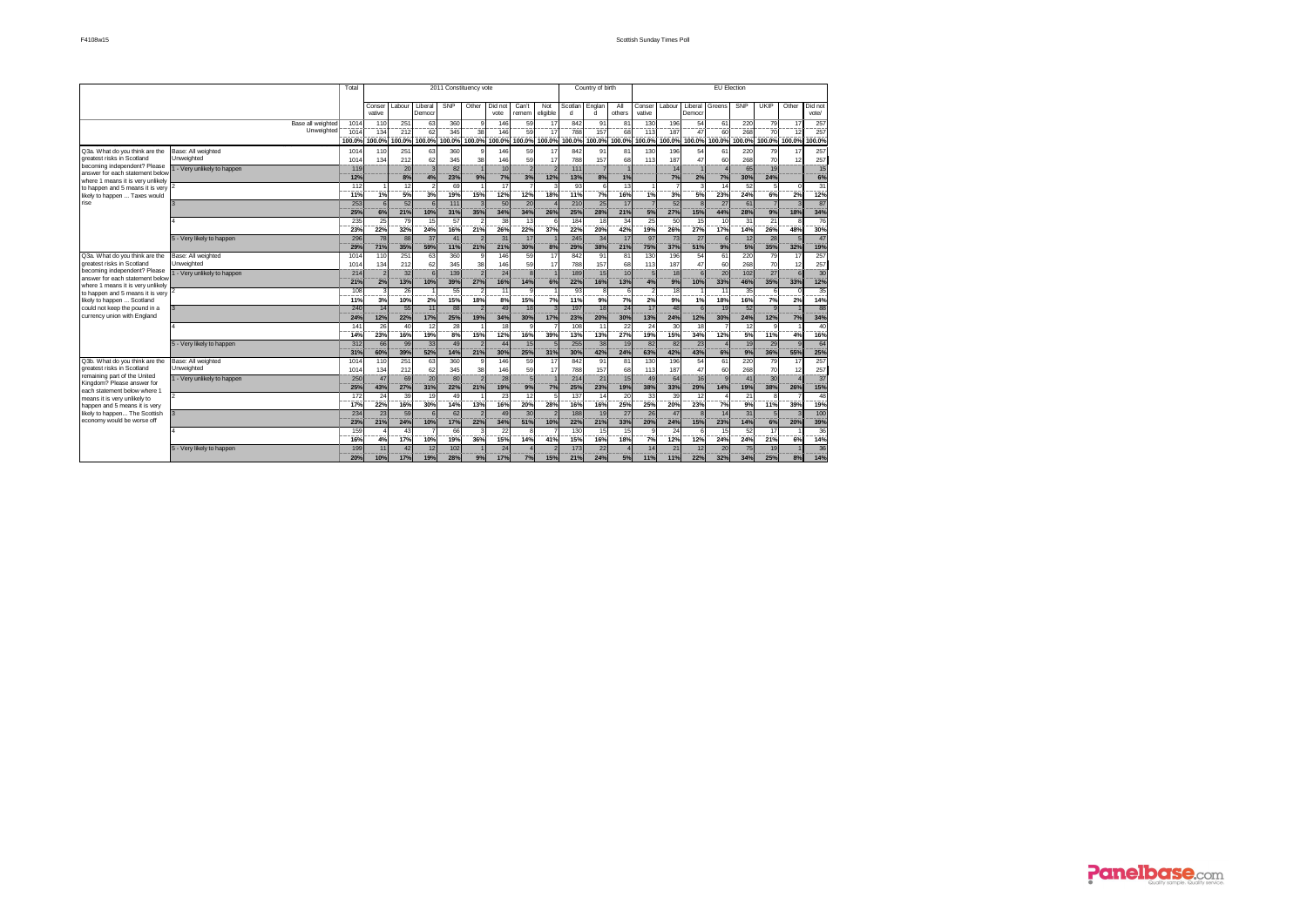|                                                                      |                             | Total      |                          |           |            | 2011 Constituency vote |                          |                 |                          |                |            | Country of birth |           |                |           |                         | EU Election     |                 |                      |        |           |
|----------------------------------------------------------------------|-----------------------------|------------|--------------------------|-----------|------------|------------------------|--------------------------|-----------------|--------------------------|----------------|------------|------------------|-----------|----------------|-----------|-------------------------|-----------------|-----------------|----------------------|--------|-----------|
|                                                                      |                             |            | Conser                   | Labour    | I iberal   | SNP                    | Other                    | Did not         | Can't                    | Not            | Scotlan    | Englan           | All       | Conser         | l abour   | I iberal                | Greens          | SNP             | LIKIP                | Other  | Did not   |
|                                                                      |                             |            | vative                   |           | Democr     |                        |                          | vote            | remem                    | eligible       | d          | $\mathbf d$      | others    | vative         |           | Democr                  |                 |                 |                      |        | vote/     |
|                                                                      | Base all weighted           | 1014       | 110                      | 251       | 63         | 360                    | $\mathbf{Q}$             | 146             | 59                       | 17             | 842        | 91               | 81        | 130            | 196       | 54                      | 61              | 220             | 79                   | 17     | 257       |
|                                                                      | Unweighted                  | 1014       | 134                      | 212       | 62         | 345                    | 38                       | 146             | 59                       | 17             | 788        | 157              | 68        | 113            | 187       | 47                      | 60              | 268             | 70                   | 12     | 257       |
|                                                                      |                             | 100.0%     | 100.0%                   | 100.0%    | 100.0%     | 100.0%                 | 100.0%                   | 100.0%          | 100.0%                   | 100.0%         | 100.0%     | 100.0%           | 100.0%    | 100.0%         | 100.0%    | 100.0%                  | 100.0%          | 100.0%          | 100.0%               | 100.0% | 100.0%    |
| Q3a. What do you think are the                                       | Base: All weighted          | 1014       | 110                      | 251       | 63         | 360                    | $\mathbf{q}$             | 146             | 59                       | 17             | 842        | 91               | 81        | 130            | 196       | 54                      | 6'              | 220             | 79                   | 17     | 257       |
| greatest risks in Scotland<br>becoming independent? Please           | Unweighted                  | 1014       | 134                      | 212       | 62         | 345                    | 38                       | 146             | 59                       | 17             | 788        | 157              | 68        | 113            | 187       | 47                      | 60              | 268             | 70                   | 12     | 257       |
| answer for each statement below                                      | 1 - Very unlikely to happen | 119        |                          | 20        | ă          | 82                     |                          | 10 <sup>1</sup> | $\overline{\phantom{a}}$ | $\overline{2}$ | 111        | ā                |           |                | 14        |                         |                 | 65              | 19                   |        | 15        |
| where 1 means it is very unlikely                                    |                             | 12%        |                          | 8%        | 4%         | 23%                    | 9%                       | 7%              | 3%                       | 12%            | 13%        | 8%               | 1%        |                | 7%        | 2%                      | 7%              | 30%             | 24%                  |        | 6%        |
| to happen and 5 means it is very                                     |                             | 112        |                          | 12        | 2          | 69                     |                          | 17              |                          |                | 93         | $\epsilon$       | 13        |                |           | в                       | 14              | 52              |                      |        | 31        |
| likely to happen  Taxes would                                        |                             | 11%        | 1%                       | 5%        | 3%         | 19%                    | 15%                      | 12%             | 12%                      | 18%            | 11%        | 7%               | 16%       | 1%             | 3%        | 5%                      | 23%             | 24%             | 6%                   | 2%     | 12%       |
| rise                                                                 |                             | 253<br>25% | 6%                       | 52<br>21% | 10%        | 111<br>31%             | 35%                      | 50<br>34%       | 20<br>34%                | 26%            | 210<br>25% | 25<br>28%        | 17<br>21% | 5%             | 52<br>27% | 15%                     | 27<br>44%       | 61<br>28%       | $\overline{7}$<br>9% | 18%    | 87<br>34% |
|                                                                      |                             | 235        | 25                       | 79        | 15         | 57                     |                          | 38              | 13                       |                | 184        | <sup>18</sup>    | 34        | 25             | 50        | 15                      | 10              | 31              | 21                   |        | 76        |
|                                                                      |                             | 23%        | 22%                      | 32%       | 24%        | 16%                    | 21%                      | 26%             | 22%                      | 37%            | 22%        | 20%              | 42%       | 19%            | 26%       | 27%                     | 17%             | 14%             | 26%                  | 48%    | 30%       |
|                                                                      | 5 - Very likely to happen   | 296        | 78                       | 88        | 37         | 41                     |                          | 31              | 17                       |                | 245        | 34               | 17        | 97             | 73        | 27                      |                 | 12              | 28                   |        | 47        |
|                                                                      |                             | 29%        | 71%                      | 35%       | 59%        | 11%                    | 21%                      | 21%             | 30%                      | 8%             | 29%        | 38%              | 21%       | 75%            | 37%       | 51%                     | 9%              | 5%              | 35%                  | 32%    | 19%       |
| Q3a. What do you think are the                                       | Base: All weighted          | 1014       | 110                      | 251       | 63         | 360                    | $\alpha$                 | 146             | 59                       | 17             | 842        | 91               | 81        | 130            | 196       | 54                      | 61              | 220             | 79                   | 17     | 257       |
| greatest risks in Scotland                                           | Unweighted                  | 1014       | 134                      | 212       | 62         | 345                    | 38                       | 146             | 59                       | 17             | 788        | 157              | 68        | 113            | 187       | 47                      | 60              | 268             | 70                   | 12     | 257       |
| becoming independent? Please                                         | - Very unlikely to happen   | 214        | $\overline{\phantom{a}}$ | 32        | F          | 139                    | $\overline{2}$           | 24              |                          |                | 189        | 15               | 10        | 5              | 18        |                         | 20              | 102             | $\overline{27}$      |        | 30        |
| answer for each statement below<br>where 1 means it is very unlikely |                             | 21%        | 2%                       | 13%       | 10%        | 39%                    | 27%                      | 16%             | 14%                      | 6%             | 22%        | 16%              | 13%       | 4%             | 9%        | 10%                     | 33%             | 46%             | 35%                  | 33%    | 12%       |
| to happen and 5 means it is very                                     |                             | 108        |                          | 26        |            | 55                     |                          | 11              |                          |                | 93         |                  | 6         | $\overline{z}$ | 18        |                         | $\overline{11}$ | 35              | -6                   |        | 35        |
| likely to happen  Scotland                                           |                             | 11%        | 3%                       | 10%       | 2%         | 15%                    | 18%                      | 8%              | 15%                      | 7%             | 11%        | 9%               | 7%        | 2%             | 9%        | 1%                      | 18%             | 16%             | 7%                   | 2%     | 14%       |
| could not keep the pound in a                                        |                             | 240        | 14                       | 55        | 11         | 88                     | $\overline{\phantom{a}}$ | 49              | 18                       | $\overline{ }$ | 197        | 18               | 24        | 17             | 48        | $\overline{\mathbf{r}}$ | 19              | 52              | $\mathbf{q}$         |        | 88        |
| currency union with England                                          |                             | 24%        | 12%                      | 22%       | 17%        | 25%                    | 19%                      | 34%             | 30%                      | 17%            | 23%        | 20%              | 30%       | 13%            | 24%       | 12%                     | 30%             | 24%             | 12%                  | 7%     | 34%       |
|                                                                      |                             | 141        | 26                       | 40        | 12         | 28                     |                          | 18              |                          |                | 108        | 11               | 22        | 24             | 30        | 18                      |                 | 12              |                      |        | 40        |
|                                                                      |                             | 14%        | 23%                      | 16%       | 19%        | 8%                     | 15%                      | 12%             | 16%                      | 39%            | 13%        | 13%              | 27%       | 19%            | 15%       | 34%                     | 12%             | 5%              | 11%                  | 4%     | 16%       |
|                                                                      | 5 - Very likely to happen   | 312        | 66                       | 99        | 33         | 49                     | $\overline{\phantom{a}}$ | 44              | 15                       |                | 255        | 38               | 19        | 82             | 82        | 23                      |                 | 19              | 29                   |        | 64        |
|                                                                      |                             | 31%        | 60%                      | 39%       | 52%        | 14%                    | 21%                      | 30%             | 25%                      | 31%            | 30%        | 42%              | 24%       | 63%            | 42%       | 43%                     | 6%              | 9%              | 36%                  | 55%    | 25%       |
| Q3b. What do you think are the                                       | Base: All weighted          | 1014       | 110                      | 251       | 63         | 360                    | $\alpha$                 | 146             | 59                       | 17             | 842        | 91               | 81        | 130            | 196       | 54                      | 61              | 220             | 79                   | 17     | 257       |
| greatest risks in Scotland<br>remaining part of the United           | Unweighted                  | 1014       | 134                      | 212       | 62         | 345                    | 38                       | 146             | 59                       | 17             | 788        | 157              | 68        | 113            | 187       | 47                      | 60              | 268             | 70                   | 12     | 257       |
| Kingdom? Please answer for                                           | 1 - Very unlikely to happen | 250        | 47                       | 69        | 20         | 80                     | $\overline{2}$           | 28              | 5                        |                | 214        | $\overline{21}$  | 15        | 49             | 64        | 16                      |                 | 41              | 30                   |        | 37        |
| each statement below where 1                                         |                             | 25%        | 43%                      | 27%       | 31%        | 22%                    | 21%                      | 19%             | 9%                       | 7%             | 25%        | 23%              | 19%       | 38%            | 33%       | 29%                     | 14%             | 19%             | 38%                  | 26%    | 15%       |
| means it is very unlikely to                                         |                             | 172        | 24                       | 39        | 19         | 49                     |                          | 23              | 12                       |                | 137        | 14               | 20        | 33             | 39        | 12                      |                 | $\overline{21}$ |                      |        | 48        |
| happen and 5 means it is very                                        |                             | 17%        | 22%                      | 16%       | 30%        | 14%                    | 13%                      | 16%             | 20%                      | 28%            | 16%        | 16%              | 25%       | 25%            | 20%       | 23%                     | 7%              | 9%              | 11%                  | 39%    | 19%       |
| likely to happen The Scottish<br>economy would be worse off          |                             | 234        | 23                       | 59        | $\epsilon$ | 62                     | $\overline{\phantom{a}}$ | 49              | 30                       | $\overline{2}$ | 188        | 19               | 27        | 26             | 47        | $\mathbf{a}$            | 14              | 31              | 5                    |        | 100       |
|                                                                      |                             | 23%        | 21%                      | 24%       | 10%        | 17%                    | 22%                      | 34%             | 51%                      | 10%            | 22%        | 21%              | 33%       | 20%            | 24%       | 15%                     | 23%             | 14%             | 6%                   | 20%    | 39%       |
|                                                                      |                             | 159        |                          | 43        |            | 66                     |                          | 22              |                          |                | 130        | 15               | 15        | $\alpha$       | 24        |                         | 15              | 52              | 17                   |        | 36        |
|                                                                      |                             | 16%        | 4%                       | 17%       | 10%        | 19%                    | 36%                      | 15%             | 14%                      | 41%            | 15%        | 16%              | 18%       | 7%             | 12%       | 12%                     | 24%             | 24%             | 21%                  | 6%     | 14%       |
|                                                                      | 5 - Very likely to happen   | 199        | 11                       | 42        | 12         | 102                    |                          | 24              |                          |                | 173        | 22               |           | 14             | 21        | 12                      | 20              | 75              | 19                   |        | 36        |
|                                                                      |                             | 20%        | 10%                      | 17%       | 19%        | 28%                    | 9%                       | 17%             | 7%                       | 15%            | 21%        | 24%              | 5%        | 11%            | 11%       | 22%                     | 32%             | 34%             | 25%                  | 8%     | 14%       |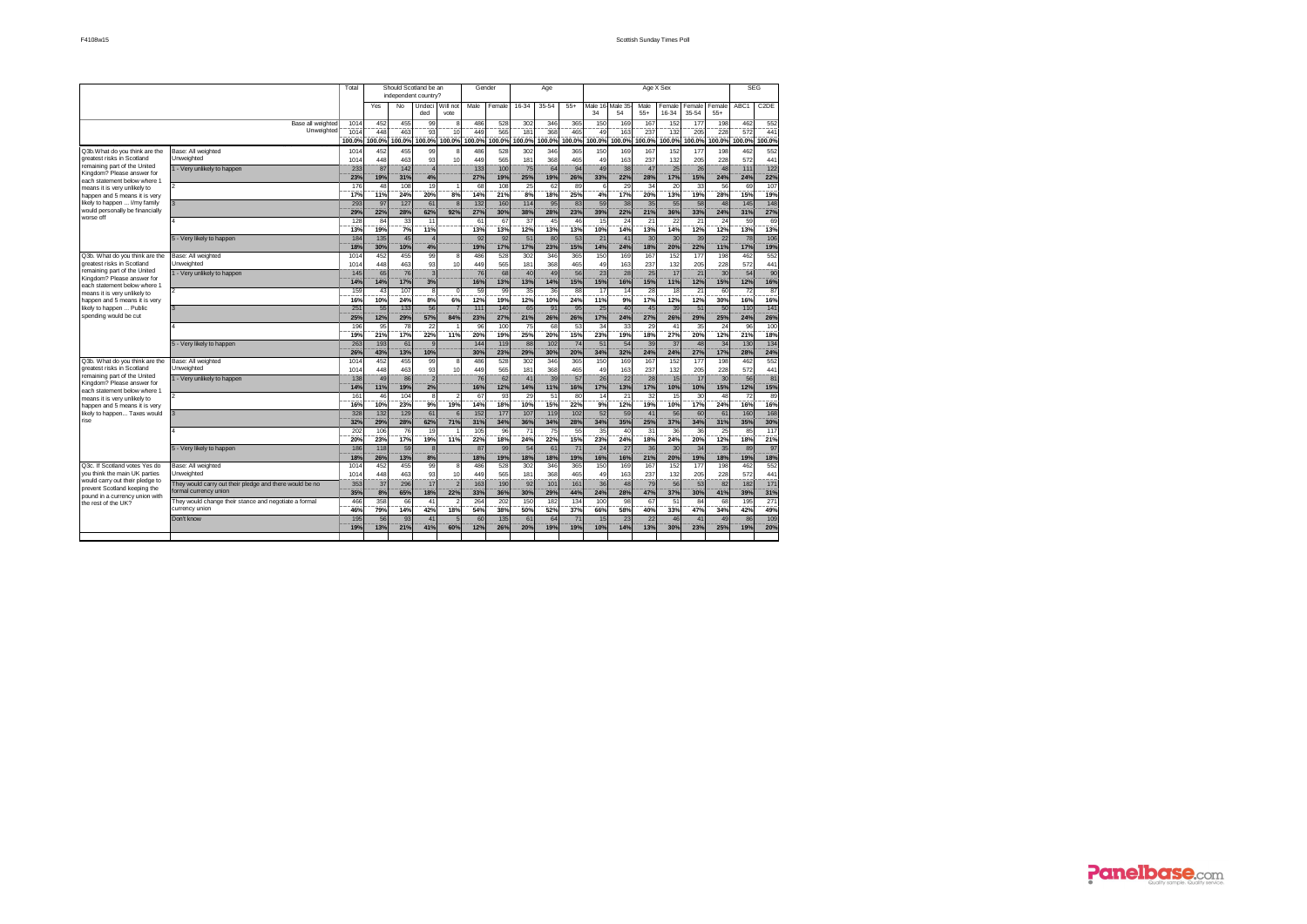|                                                               |                                                         | Total           |            | Should Scotland be an<br>independent country? |                               |                  | Gender     |            |                 | Age        |                        |                       |                   | Age X Sex              |                |                        |                 | <b>SEG</b>       |                   |
|---------------------------------------------------------------|---------------------------------------------------------|-----------------|------------|-----------------------------------------------|-------------------------------|------------------|------------|------------|-----------------|------------|------------------------|-----------------------|-------------------|------------------------|----------------|------------------------|-----------------|------------------|-------------------|
|                                                               |                                                         |                 | Yes        | No.                                           | Undeci<br>ded                 | Will not<br>vote | Male       | emale      | $16 - 34$       | $35 - 54$  | 55+                    | Male 16<br>34         | Male 35<br>54     | Male<br>$55+$          | emale<br>16-34 | Female<br>$35 - 54$    | Female<br>$55+$ | ABC <sub>1</sub> | C <sub>2</sub> DE |
|                                                               | Base all weighted                                       | 1014            | 452        | 455                                           | 99                            |                  | 486        | 528        | 302             | 346        | 365                    | 150                   | 169               | 167                    | 152            | 177                    | 198             | 462              | 552               |
|                                                               | Unweighted                                              | 1014            | 448        | 463                                           | $\overline{a}$                | 10               | 449        | 565        | 181             | 368        | 465                    | 4 <sup>c</sup>        | 163               | 237                    | 132            | 205                    | 228             | 572              | 44 <sup>1</sup>   |
|                                                               |                                                         | 100.0%          | 100.0%     | 00.0%                                         | 100.0%                        | 100.0%           | 100.0%     | 100.0%     | 100.0%          | 100.0%     | 00.0%                  | 100.0%                | 00.0%             | 100.0%                 | 00.0%          | 100.0%                 | 100.0%          | 100.0%           | 100.0%            |
| Q3b.What do you think are the                                 | Base: All weighted                                      | 1014            | 452        | 455                                           | 99                            |                  | 486        | 528        | 302             | 346        | 365                    | 150                   | <b>169</b>        | 167                    | 152            | 177                    | 198             | 462              | 552               |
| greatest risks in Scotland<br>remaining part of the United    | Unweighted                                              | 1014            | 448        | 463                                           | 93                            | 10               | 449        | 565        | 181             | 368        | 465                    | 49                    | 163               | 237                    | 132            | 205                    | 228             | 572              | 441               |
| Kingdom? Please answer for                                    | 1 - Very unlikely to happen                             | 233             | 87         | 142                                           | $\overline{4}$                |                  | 133        | 100        | 75              | 64         | 94                     | 49                    | 38                | 47                     | 25             | 26                     | 48              | 111              | 122               |
| each statement below where 1                                  |                                                         | 23%<br>176      | 19%<br>48  | 31%<br>108                                    | 4%<br>19                      |                  | 27%<br>68  | 19%<br>108 | 25%<br>25       | 19%<br>62  | 26%<br>89              | 33%                   | 22%<br>29         | 28%<br>$\overline{34}$ | 17%<br>20      | 15%<br>33              | 24%<br>56       | 24%<br>69        | 22%<br>107        |
| means it is very unlikely to<br>happen and 5 means it is very |                                                         | 17%             | 11%        | 24%                                           | 20%                           | 8%               | 14%        | 21%        | 8%              | 18%        | 25%                    | 4%                    | 17%               | 20%                    | 13%            | 19%                    | 28%             | 15%              | 19%               |
| likely to happen  I/my family                                 |                                                         | 293             | 97         | 127                                           | 61                            |                  | 132        | 160        | 114             | 95         | 83                     | 59                    | 38                | 35                     | 55             | 58                     | 48              | 145              | 148               |
| would personally be financially                               |                                                         | 29%             | 22%        | 28%                                           | 62%                           | 92%              | 27%        | 30%        | 38%             | 28%        | 23%                    | 39%                   | 22%               | 21%                    | 36%            | 33%                    | 24%             | 31%              | 27%               |
| worse off                                                     |                                                         | 128             | 84         | 33                                            | 11                            |                  | 61         | 67         | 37              | 45         | 46                     | 15                    | 24                | 21                     | 22             | 21                     | 24              | 59               | 69                |
|                                                               |                                                         | 13%             | 19%        | 7%                                            | 11%                           |                  | 13%        | 13%        | 12%             | 13%        | 13%                    | 10%                   | 14%               | 13%                    | 14%            | 12%                    | 12%             | 13%              | 13%               |
|                                                               | 5 - Very likely to happen                               | 184             | 135        | 45                                            | $\overline{4}$                |                  | 92         | 92         | 51              | 80         | 53                     | 21                    | 41                | 30                     | 30             | 39                     | 22              | 78               | 106               |
|                                                               |                                                         | 18%             | 30%        | 10%                                           | 4%                            |                  | 19%        | 17%        | 17%             | 23%        | 15%                    | 14%                   | 24%               | 18%                    | 20%            | 22%                    | 11%             | 17%              | 19%               |
| Q3b. What do you think are the<br>greatest risks in Scotland  | Base: All weighted<br>Unweighted                        | 1014            | 452        | 455                                           | 99                            | g                | 486        | 528        | 302             | 346        | 365                    | 150                   | <b>169</b>        | 167                    | 152            | 177                    | 198             | 462              | 552               |
| remaining part of the United                                  |                                                         | 1014<br>145     | 448<br>65  | 463<br>76                                     | 93<br>$\overline{\mathbf{3}}$ | 10               | 449<br>76  | 565<br>68  | 181<br>40       | 368<br>49  | 465<br>56              | 49<br>$\overline{23}$ | 163<br>28         | 237<br>25              | 132<br>17      | 205<br>$\overline{21}$ | 228<br>30       | 572<br>54        | 441<br>90         |
| Kingdom? Please answer for                                    | 1 - Very unlikely to happen                             | 14%             | 14%        | 17%                                           | 3%                            |                  | 16%        | 13%        | 13%             | 14%        | 15%                    | 15%                   | 16%               | 15%                    | 11%            | 12%                    | 15%             | 12%              | 16%               |
| each statement below where 1                                  |                                                         | 159             | 43         | 107                                           | 8                             | O                | 59         | 99         | 35              | 36         | 88                     | 17                    | 14                | 28                     | 18             | 21                     | 60              | 72               | 87                |
| means it is very unlikely to<br>happen and 5 means it is very |                                                         | 16%             | 10%        | 24%                                           | 8%                            | 6%               | 12%        | 19%        | 12%             | 10%        | 24%                    | 11%                   | 9%                | 17%                    | 12%            | 12%                    | 30%             | 16%              | 16%               |
| likely to happen  Public                                      |                                                         | 251             | 55         | 133                                           | 56                            |                  | 111        | 140        | 65              | 91         | 95                     | 25                    | 40                | 45                     | 39             | 51                     | 50              | 110              | 141               |
| spending would be cut                                         |                                                         | 25%             | 12%        | 29%                                           | 57%                           | 84%              | 23%        | 27%        | 21%             | 26%        | 26%                    | 17%                   | 24%               | 27%                    | 26%            | 29%                    | 25%             | 24%              | 26%               |
|                                                               | 4                                                       | 196             | 95         | 78                                            | $\overline{22}$               |                  | 96         | 100        | $\overline{75}$ | 68         | 53                     | $\overline{34}$       | 33                | 29                     | 41             | $\overline{35}$        | 24              | 96               | 100               |
|                                                               |                                                         | 19%             | 21%        | 17%                                           | 22%                           | 11%              | 20%        | 19%        | 25%             | 20%        | 15%                    | 23%                   | 19%               | 18%                    | 27%            | 20%                    | 12%             | 21%              | 18%               |
|                                                               | 5 - Very likely to happen                               | 263             | 193        | 61                                            | $\mathbf{q}$                  |                  | 144        | 119        | 88              | 102        | 74                     | 51                    | 54                | 39                     | 37             | 48                     | 34              | 130              | 134               |
|                                                               |                                                         | 26%             | 43%        | 13%                                           | 10%                           |                  | 30%        | 23%        | 29%             | 30%        | 20%                    | 34%                   | 32%               | 24%<br>167             | 24%            | 27%                    | 17%             | 28%              | 24%               |
| Q3b. What do you think are the<br>greatest risks in Scotland  | Base: All weighted<br>Unweighted                        | 1014<br>1014    | 452<br>448 | 455<br>463                                    | 99<br>93                      | я<br>10          | 486<br>449 | 528<br>565 | 302<br>181      | 346<br>368 | 365<br>465             | 150<br>49             | <b>169</b><br>163 | 237                    | 152<br>132     | 177<br>205             | 198<br>228      | 462<br>572       | 552<br>441        |
| remaining part of the United                                  | 1 - Very unlikely to happen                             | 138             | 49         | 86                                            | $\overline{2}$                |                  | 76         | 62         | 41              | 39         | 57                     | 26                    | 22                | 28                     | 15             | 17                     | 30              | 56               | $\overline{8}$    |
| Kingdom? Please answer for                                    |                                                         | 14%             | 11%        | 19%                                           | 2%                            |                  | 16%        | 12%        | 14%             | 11%        | 16%                    | 17%                   | 13%               | 17%                    | 10%            | 10%                    | 15%             | 12%              | 15%               |
| each statement below where 1<br>means it is very unlikely to  |                                                         | 16 <sup>2</sup> | 46         | 104                                           | $\mathbf{a}$                  |                  | 67         | 93         | 29              | 51         | 80                     | 14                    | 21                | 32                     | 15             | 30                     | 48              | 72               | 89                |
| happen and 5 means it is very                                 |                                                         | 16%             | 10%        | 23%                                           | 9%                            | 19%              | 14%        | 18%        | 10%             | 15%        | 22%                    | 9%                    | 12%               | 19%                    | 10%            | 17%                    | 24%             | 16%              | 16%               |
| likely to happen Taxes would                                  |                                                         | 328             | 132        | 129                                           | 61                            |                  | 152        | 177        | 107             | 119        | 102                    | 52                    | 59                | 41                     | 56             | 60                     | 61              | 160              | 168               |
| rise                                                          |                                                         | 32%             | 29%        | 28%                                           | 62%                           | 71%              | 31%        | 34%        | 36%             | 34%        | 28%                    | 34%                   | 35%               | 25%                    | 37%            | 34%                    | 31%             | 35%              | 30%               |
|                                                               | 4                                                       | 202             | 106        | 76                                            | 19                            |                  | 105        | 96         | 71              | 75         | 55                     | 35                    | 40                | 31                     | 36             | 36                     | 25              | 85               | 117               |
|                                                               |                                                         | 20%             | 23%        | 17%                                           | 19%                           | 11%              | 22%        | 18%        | 24%             | 22%        | 15%                    | 23%                   | 24%               | 18%                    | 24%            | 20%                    | 12%             | 18%              | 21%               |
|                                                               | 5 - Very likely to happen                               | 186<br>18%      | 118<br>26% | 59<br>13%                                     | 8<br>8%                       |                  | 87<br>18%  | 99         | 54<br>18%       | 61<br>18%  | $\overline{71}$<br>19% | 24<br>16%             | 27<br>16%         | 36<br>21%              | 30<br>20%      | 34<br>19%              | 35<br>18%       | 89<br>19%        | 97                |
| O3c. If Scotland votes Yes do                                 | Base: All weighted                                      | 1014            | 452        | 455                                           | 99                            | R                | 486        | 19%<br>528 | 302             | 346        | 365                    | 150                   | <b>169</b>        | 167                    | 152            | 177                    | 198             | 462              | 18%<br>552        |
| vou think the main UK parties                                 | Unweighted                                              | 1014            | 448        | 463                                           | 93                            | 10               | 449        | 565        | 181             | 368        | 465                    | 49                    | 163               | 237                    | 132            | 205                    | 228             | 572              | 441               |
| would carry out their pledge to                               | They would carry out their pledge and there would be no | 353             | 37         | 296                                           | 17                            | $\overline{2}$   | 163        | 190        | 92              | 101        | 161                    | 36                    | 48                | 79                     | 56             | 53                     | 82              | 182              | 17 <sup>1</sup>   |
| prevent Scotland keeping the                                  | formal currency union                                   | 35%             | 8%         | 65%                                           | 18%                           | 22%              | 33%        | 36%        | 30%             | 29%        | 44%                    | 24%                   | 28%               | 47%                    | 37%            | 30%                    | 41%             | 39%              | 31%               |
| pound in a currency union with<br>the rest of the UK?         | They would change their stance and negotiate a formal   | 466             | 358        | 66                                            | 41                            | 2                | 264        | 202        | 150             | 182        | 134                    | 100                   | 98                | 67                     | 51             | 84                     | 68              | 195              | 271               |
|                                                               | currency union                                          | 46%             | 79%        | 14%                                           | 42%                           | 18%              | 54%        | 38%        | 50%             | 52%        | 37%                    | 66%                   | 58%               | 40%                    | 33%            | 47%                    | 34%             | 42%              | 49%               |
|                                                               | Don't know                                              | 195             | 56         | 93                                            | 41                            |                  | 60         | 135        | 61              | 64         | $\overline{71}$        | 15                    | 23                | $\overline{22}$        | 46             | 41                     | 49              | 86               | 10 <sub>S</sub>   |
|                                                               |                                                         | 19%             | 13%        | 21%                                           | 41%                           | 60%              | 12%        | 26%        | 20%             | 19%        | 19%                    | 10%                   | 14%               | 13%                    | 30%            | 23%                    | <b>25%</b>      | 19%              | 20%               |
|                                                               |                                                         |                 |            |                                               |                               |                  |            |            |                 |            |                        |                       |                   |                        |                |                        |                 |                  |                   |